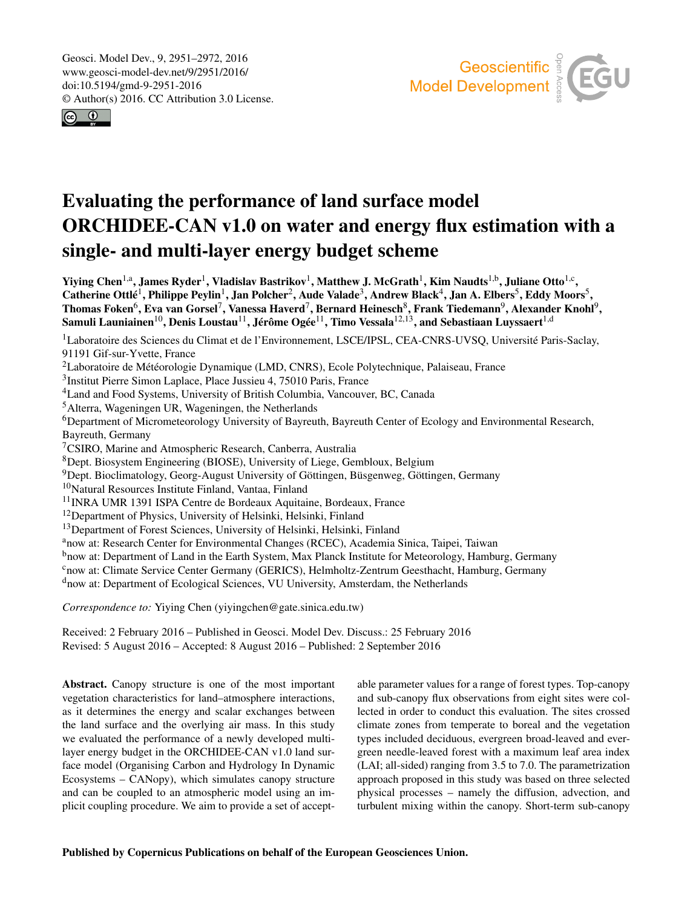<span id="page-0-1"></span>Geosci. Model Dev., 9, 2951–2972, 2016 www.geosci-model-dev.net/9/2951/2016/ doi:10.5194/gmd-9-2951-2016 © Author(s) 2016. CC Attribution 3.0 License.





# Evaluating the performance of land surface model ORCHIDEE-CAN v1.0 on water and energy flux estimation with a single- and multi-layer energy budget scheme

Yiying Chen<sup>[1,a](#page-0-0)</sup>, James Ryder<sup>[1](#page-0-0)</sup>, Vladislav Bastrikov<sup>1</sup>, Matthew J. McGrath<sup>1</sup>, Kim Naudts<sup>[1,b](#page-0-0)</sup>, Juliane Otto<sup>[1,c](#page-0-0)</sup>, Catherine Ottlé<sup>[1](#page-0-0)</sup>, Philippe Peylin<sup>1</sup>, Jan Polcher<sup>[2](#page-0-0)</sup>, Aude Valade<sup>[3](#page-0-0)</sup>, Andrew Black<sup>[4](#page-0-0)</sup>, Jan A. Elbers<sup>[5](#page-0-0)</sup>, Eddy Moors<sup>5</sup>, Thomas Foken $^6$  $^6$ , Eva van Gorsel $^7$  $^7$ , Vanessa Haverd $^7$ , Bernard Heinesch $^8$  $^8$ , Frank Tiedemann $^9$  $^9$ , Alexander Knohl $^9$ , Samuli Launiainen<sup>[10](#page-0-0)</sup>, Denis Loustau<sup>[11](#page-0-0)</sup>, Jérôme Ogée<sup>11</sup>, Timo Vessala<sup>[12,13](#page-0-0)</sup>, and Sebastiaan Luyssaert<sup>[1,d](#page-0-0)</sup> <sup>1</sup>Laboratoire des Sciences du Climat et de l'Environnement, LSCE/IPSL, CEA-CNRS-UVSQ, Université Paris-Saclay, 91191 Gif-sur-Yvette, France <sup>2</sup>Laboratoire de Météorologie Dynamique (LMD, CNRS), Ecole Polytechnique, Palaiseau, France 3 Institut Pierre Simon Laplace, Place Jussieu 4, 75010 Paris, France <sup>4</sup>Land and Food Systems, University of British Columbia, Vancouver, BC, Canada <sup>5</sup>Alterra, Wageningen UR, Wageningen, the Netherlands <sup>6</sup>Department of Micrometeorology University of Bayreuth, Bayreuth Center of Ecology and Environmental Research, Bayreuth, Germany <sup>7</sup>CSIRO, Marine and Atmospheric Research, Canberra, Australia <sup>8</sup>Dept. Biosystem Engineering (BIOSE), University of Liege, Gembloux, Belgium <sup>9</sup>Dept. Bioclimatology, Georg-August University of Göttingen, Büsgenweg, Göttingen, Germany <sup>10</sup>Natural Resources Institute Finland, Vantaa, Finland <sup>11</sup>INRA UMR 1391 ISPA Centre de Bordeaux Aquitaine, Bordeaux, France <sup>12</sup>Department of Physics, University of Helsinki, Helsinki, Finland <sup>13</sup>Department of Forest Sciences, University of Helsinki, Helsinki, Finland <sup>a</sup>now at: Research Center for Environmental Changes (RCEC), Academia Sinica, Taipei, Taiwan b<sub>now at: Department of Land in the Earth System, Max Planck Institute for Meteorology, Hamburg, Germany</sub> <sup>c</sup>now at: Climate Service Center Germany (GERICS), Helmholtz-Zentrum Geesthacht, Hamburg, Germany <sup>d</sup>now at: Department of Ecological Sciences, VU University, Amsterdam, the Netherlands

*Correspondence to:* Yiying Chen (yiyingchen@gate.sinica.edu.tw)

Received: 2 February 2016 – Published in Geosci. Model Dev. Discuss.: 25 February 2016 Revised: 5 August 2016 – Accepted: 8 August 2016 – Published: 2 September 2016

<span id="page-0-0"></span>Abstract. Canopy structure is one of the most important vegetation characteristics for land–atmosphere interactions, as it determines the energy and scalar exchanges between the land surface and the overlying air mass. In this study we evaluated the performance of a newly developed multilayer energy budget in the ORCHIDEE-CAN v1.0 land surface model (Organising Carbon and Hydrology In Dynamic Ecosystems – CANopy), which simulates canopy structure and can be coupled to an atmospheric model using an implicit coupling procedure. We aim to provide a set of acceptable parameter values for a range of forest types. Top-canopy and sub-canopy flux observations from eight sites were collected in order to conduct this evaluation. The sites crossed climate zones from temperate to boreal and the vegetation types included deciduous, evergreen broad-leaved and evergreen needle-leaved forest with a maximum leaf area index (LAI; all-sided) ranging from 3.5 to 7.0. The parametrization approach proposed in this study was based on three selected physical processes – namely the diffusion, advection, and turbulent mixing within the canopy. Short-term sub-canopy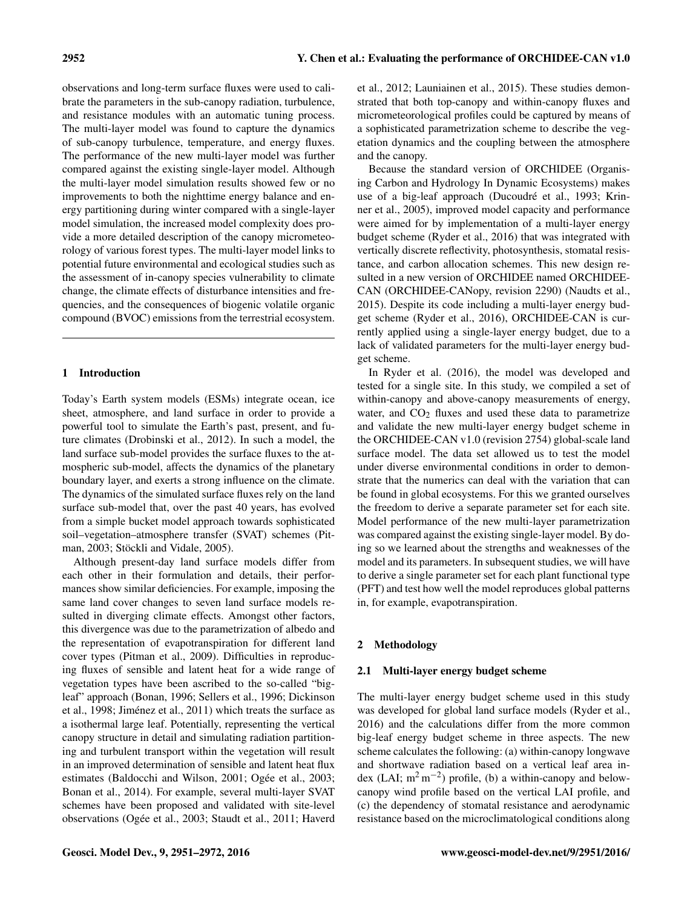observations and long-term surface fluxes were used to calibrate the parameters in the sub-canopy radiation, turbulence, and resistance modules with an automatic tuning process. The multi-layer model was found to capture the dynamics of sub-canopy turbulence, temperature, and energy fluxes. The performance of the new multi-layer model was further compared against the existing single-layer model. Although the multi-layer model simulation results showed few or no improvements to both the nighttime energy balance and energy partitioning during winter compared with a single-layer model simulation, the increased model complexity does provide a more detailed description of the canopy micrometeorology of various forest types. The multi-layer model links to potential future environmental and ecological studies such as the assessment of in-canopy species vulnerability to climate change, the climate effects of disturbance intensities and frequencies, and the consequences of biogenic volatile organic compound (BVOC) emissions from the terrestrial ecosystem.

## 1 Introduction

Today's Earth system models (ESMs) integrate ocean, ice sheet, atmosphere, and land surface in order to provide a powerful tool to simulate the Earth's past, present, and future climates [\(Drobinski et al.,](#page-19-0) [2012\)](#page-19-0). In such a model, the land surface sub-model provides the surface fluxes to the atmospheric sub-model, affects the dynamics of the planetary boundary layer, and exerts a strong influence on the climate. The dynamics of the simulated surface fluxes rely on the land surface sub-model that, over the past 40 years, has evolved from a simple bucket model approach towards sophisticated soil–vegetation–atmosphere transfer (SVAT) schemes [\(Pit](#page-21-0)[man,](#page-21-0) [2003;](#page-21-0) [Stöckli and Vidale,](#page-21-1) [2005\)](#page-21-1).

Although present-day land surface models differ from each other in their formulation and details, their performances show similar deficiencies. For example, imposing the same land cover changes to seven land surface models resulted in diverging climate effects. Amongst other factors, this divergence was due to the parametrization of albedo and the representation of evapotranspiration for different land cover types [\(Pitman et al.,](#page-21-2) [2009\)](#page-21-2). Difficulties in reproducing fluxes of sensible and latent heat for a wide range of vegetation types have been ascribed to the so-called "bigleaf" approach [\(Bonan,](#page-19-1) [1996;](#page-19-1) [Sellers et al.,](#page-21-3) [1996;](#page-21-3) [Dickinson](#page-19-2) [et al.,](#page-19-2) [1998;](#page-19-2) [Jiménez et al.,](#page-20-0) [2011\)](#page-20-0) which treats the surface as a isothermal large leaf. Potentially, representing the vertical canopy structure in detail and simulating radiation partitioning and turbulent transport within the vegetation will result in an improved determination of sensible and latent heat flux estimates [\(Baldocchi and Wilson,](#page-18-0) [2001;](#page-18-0) [Ogée et al.,](#page-20-1) [2003;](#page-20-1) [Bonan et al.,](#page-19-3) [2014\)](#page-19-3). For example, several multi-layer SVAT schemes have been proposed and validated with site-level observations [\(Ogée et al.,](#page-20-1) [2003;](#page-20-1) [Staudt et al.,](#page-21-4) [2011;](#page-21-4) [Haverd](#page-20-2) [et al.,](#page-20-2) [2012;](#page-20-2) [Launiainen et al.,](#page-20-3) [2015\)](#page-20-3). These studies demonstrated that both top-canopy and within-canopy fluxes and micrometeorological profiles could be captured by means of a sophisticated parametrization scheme to describe the vegetation dynamics and the coupling between the atmosphere and the canopy.

Because the standard version of ORCHIDEE (Organising Carbon and Hydrology In Dynamic Ecosystems) makes use of a big-leaf approach [\(Ducoudré et al.,](#page-19-4) [1993;](#page-19-4) [Krin](#page-20-4)[ner et al.,](#page-20-4) [2005\)](#page-20-4), improved model capacity and performance were aimed for by implementation of a multi-layer energy budget scheme [\(Ryder et al.,](#page-21-5) [2016\)](#page-21-5) that was integrated with vertically discrete reflectivity, photosynthesis, stomatal resistance, and carbon allocation schemes. This new design resulted in a new version of ORCHIDEE named ORCHIDEE-CAN (ORCHIDEE-CANopy, revision 2290) [\(Naudts et al.,](#page-20-5) [2015\)](#page-20-5). Despite its code including a multi-layer energy budget scheme [\(Ryder et al.,](#page-21-5) [2016\)](#page-21-5), ORCHIDEE-CAN is currently applied using a single-layer energy budget, due to a lack of validated parameters for the multi-layer energy budget scheme.

In [Ryder et al.](#page-21-5) [\(2016\)](#page-21-5), the model was developed and tested for a single site. In this study, we compiled a set of within-canopy and above-canopy measurements of energy, water, and  $CO<sub>2</sub>$  fluxes and used these data to parametrize and validate the new multi-layer energy budget scheme in the ORCHIDEE-CAN v1.0 (revision 2754) global-scale land surface model. The data set allowed us to test the model under diverse environmental conditions in order to demonstrate that the numerics can deal with the variation that can be found in global ecosystems. For this we granted ourselves the freedom to derive a separate parameter set for each site. Model performance of the new multi-layer parametrization was compared against the existing single-layer model. By doing so we learned about the strengths and weaknesses of the model and its parameters. In subsequent studies, we will have to derive a single parameter set for each plant functional type (PFT) and test how well the model reproduces global patterns in, for example, evapotranspiration.

# 2 Methodology

## 2.1 Multi-layer energy budget scheme

The multi-layer energy budget scheme used in this study was developed for global land surface models [\(Ryder et al.,](#page-21-5) [2016\)](#page-21-5) and the calculations differ from the more common big-leaf energy budget scheme in three aspects. The new scheme calculates the following: (a) within-canopy longwave and shortwave radiation based on a vertical leaf area index (LAI;  $m^2 m^{-2}$ ) profile, (b) a within-canopy and belowcanopy wind profile based on the vertical LAI profile, and (c) the dependency of stomatal resistance and aerodynamic resistance based on the microclimatological conditions along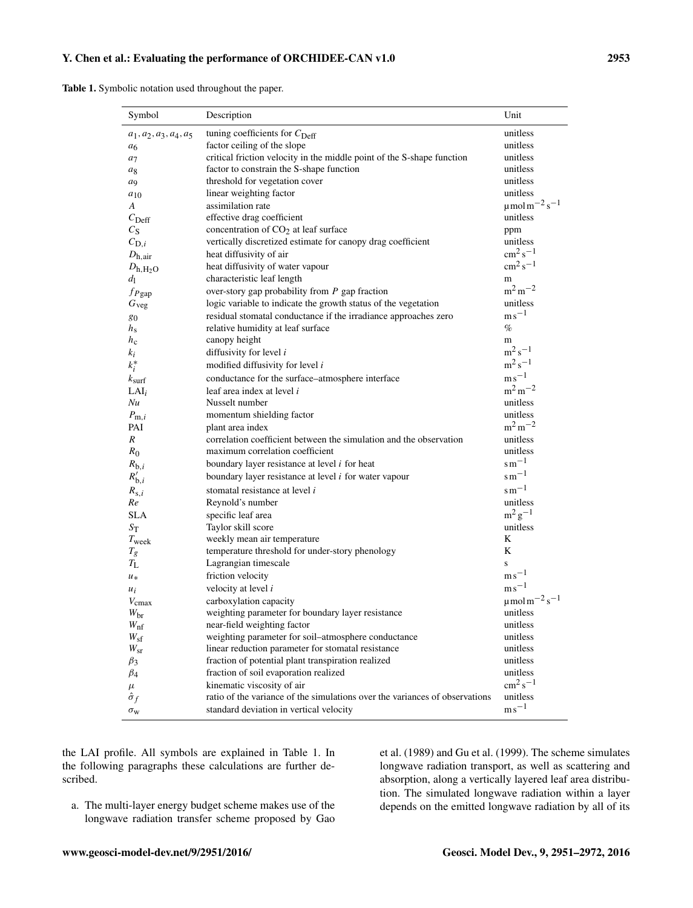<span id="page-2-0"></span>

|  |  |  |  |  | <b>Table 1.</b> Symbolic notation used throughout the paper. |  |
|--|--|--|--|--|--------------------------------------------------------------|--|
|--|--|--|--|--|--------------------------------------------------------------|--|

| Symbol                    | Description                                                                 | Unit                                      |
|---------------------------|-----------------------------------------------------------------------------|-------------------------------------------|
| $a_1, a_2, a_3, a_4, a_5$ | tuning coefficients for $C_{\text{Deff}}$                                   | unitless                                  |
| $a_6$                     | factor ceiling of the slope                                                 | unitless                                  |
| a <sub>7</sub>            | critical friction velocity in the middle point of the S-shape function      | unitless                                  |
| $a_8$                     | factor to constrain the S-shape function                                    | unitless                                  |
| a9                        | threshold for vegetation cover                                              | unitless                                  |
| $a_{10}$                  | linear weighting factor                                                     | unitless                                  |
| А                         | assimilation rate                                                           | $\mu$ mol m <sup>-2</sup> s <sup>-1</sup> |
| $C_{\rm Deff}$            | effective drag coefficient                                                  | unitless                                  |
| $C_{\rm S}$               | concentration of CO <sub>2</sub> at leaf surface                            | ppm                                       |
| $C_{\text{D},i}$          | vertically discretized estimate for canopy drag coefficient                 | unitless                                  |
| $D_{h, air}$              | heat diffusivity of air                                                     | $\mathrm{cm}^2\mathrm{\,s}^{-1}$          |
| $D_{h,H_2O}$              | heat diffusivity of water vapour                                            | $\mathrm{cm}^2\,\mathrm{s}^{-1}$          |
| d <sub>1</sub>            | characteristic leaf length                                                  | m                                         |
| $f_{P\, \rm gap}$         | over-story gap probability from $P$ gap fraction                            | $m^2m^{-2}$                               |
| $G_{\text{veg}}$          | logic variable to indicate the growth status of the vegetation              | unitless                                  |
| 80                        | residual stomatal conductance if the irradiance approaches zero             | $\mathrm{m}\,\mathrm{s}^{-1}$             |
| $h_{\rm S}$               | relative humidity at leaf surface                                           | $\%$                                      |
| $h_{\rm c}$               | canopy height                                                               | m                                         |
| $k_i$                     | diffusivity for level $i$                                                   | $m^2 s^{-1}$                              |
| $k_i^*$                   | modified diffusivity for level i                                            | $m^2 s^{-1}$                              |
| $k_{\text{surf}}$         | conductance for the surface-atmosphere interface                            | $\mathrm{m}\,\mathrm{s}^{-1}$             |
| $LAI_i$                   | leaf area index at level i                                                  | $m^2m^{-2}$                               |
| Nu                        | Nusselt number                                                              | unitless                                  |
| $P_{\text{m},i}$          | momentum shielding factor                                                   | unitless                                  |
| PAI                       | plant area index                                                            | $m^2m^{-2}$                               |
| R                         | correlation coefficient between the simulation and the observation          | unitless                                  |
| $R_0$                     | maximum correlation coefficient                                             | unitless                                  |
| $R_{\text{b},i}$          | boundary layer resistance at level $i$ for heat                             | $\rm{~s~m^{-1}}$                          |
| $R'_{\text{b},i}$         | boundary layer resistance at level $i$ for water vapour                     | $\rm{~s~m^{-1}}$                          |
| $R_{\rm s,i}$             | stomatal resistance at level i                                              | $\rm{~s~m^{-1}}$                          |
| Re                        | Reynold's number                                                            | unitless                                  |
| <b>SLA</b>                | specific leaf area                                                          | $m^2 g^{-1}$                              |
| $S_{\rm T}$               | Taylor skill score                                                          | unitless                                  |
| $T_{\text{week}}$         | weekly mean air temperature                                                 | K                                         |
| $T_g$                     | temperature threshold for under-story phenology                             | K                                         |
| $T_{\rm L}$               | Lagrangian timescale                                                        | $\mathbf S$                               |
| $u_*$                     | friction velocity                                                           | $\mathrm{m}\,\mathrm{s}^{-1}$             |
| $u_i$                     | velocity at level i                                                         | $\mathrm{m}\,\mathrm{s}^{-1}$             |
| $V_{\rm cmax}$            | carboxylation capacity                                                      | $\mu$ mol m <sup>-2</sup> s <sup>-1</sup> |
| $W_{\rm br}$              | weighting parameter for boundary layer resistance                           | unitless                                  |
| $W_{\rm nf}$              | near-field weighting factor                                                 | unitless                                  |
| $W_{\rm sf}$              | weighting parameter for soil-atmosphere conductance                         | unitless                                  |
| $W_{\rm sr}$              | linear reduction parameter for stomatal resistance                          | unitless                                  |
| $\beta_3$                 | fraction of potential plant transpiration realized                          | unitless                                  |
| $\beta_4$                 | fraction of soil evaporation realized                                       | unitless                                  |
| $\mu$                     | kinematic viscosity of air                                                  | $\mathrm{cm}^2\,\mathrm{s}^{-1}$          |
| $\hat{\sigma}_f$          | ratio of the variance of the simulations over the variances of observations | unitless                                  |
| $\sigma_{\rm w}$          | standard deviation in vertical velocity                                     | $\mathrm{m}\,\mathrm{s}^{-1}$             |

the LAI profile. All symbols are explained in Table [1.](#page-2-0) In the following paragraphs these calculations are further described.

a. The multi-layer energy budget scheme makes use of the longwave radiation transfer scheme proposed by [Gao](#page-19-5) [et al.](#page-19-5) [\(1989\)](#page-19-5) and [Gu et al.](#page-19-6) [\(1999\)](#page-19-6). The scheme simulates longwave radiation transport, as well as scattering and absorption, along a vertically layered leaf area distribution. The simulated longwave radiation within a layer depends on the emitted longwave radiation by all of its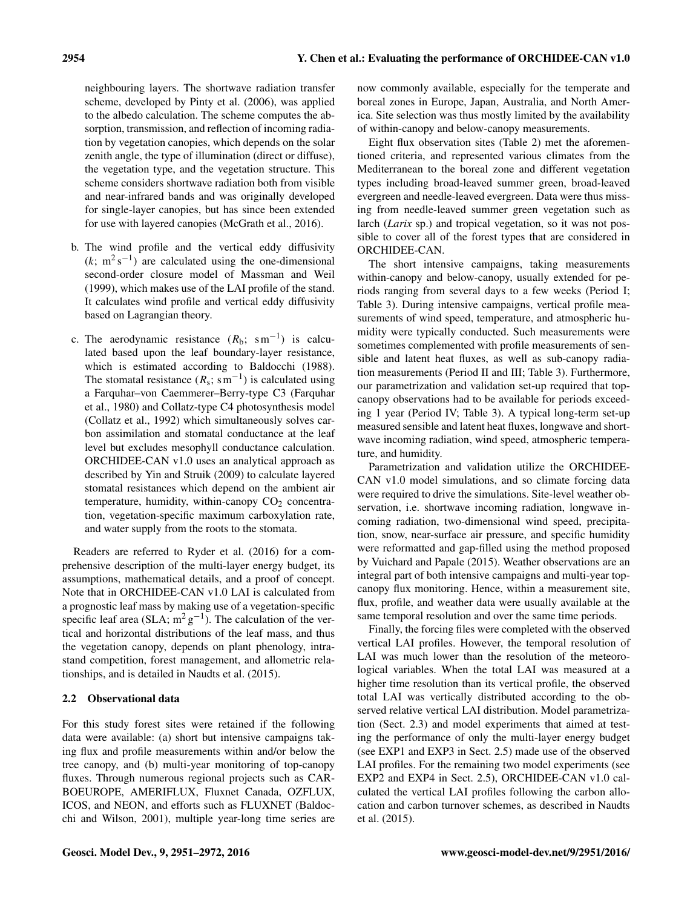neighbouring layers. The shortwave radiation transfer scheme, developed by [Pinty et al.](#page-21-6) [\(2006\)](#page-21-6), was applied to the albedo calculation. The scheme computes the absorption, transmission, and reflection of incoming radiation by vegetation canopies, which depends on the solar zenith angle, the type of illumination (direct or diffuse), the vegetation type, and the vegetation structure. This scheme considers shortwave radiation both from visible and near-infrared bands and was originally developed for single-layer canopies, but has since been extended for use with layered canopies [\(McGrath et al.,](#page-20-6) [2016\)](#page-20-6).

- b. The wind profile and the vertical eddy diffusivity  $(k; m<sup>2</sup> s<sup>-1</sup>)$  are calculated using the one-dimensional second-order closure model of [Massman and Weil](#page-20-7) [\(1999\)](#page-20-7), which makes use of the LAI profile of the stand. It calculates wind profile and vertical eddy diffusivity based on Lagrangian theory.
- c. The aerodynamic resistance  $(R_b; \text{ s m}^{-1})$  is calculated based upon the leaf boundary-layer resistance, which is estimated according to [Baldocchi](#page-18-1) [\(1988\)](#page-18-1). The stomatal resistance  $(R_s; sm^{-1})$  is calculated using a Farquhar–von Caemmerer–Berry-type C3 [\(Farquhar](#page-19-7) [et al.,](#page-19-7) [1980\)](#page-19-7) and Collatz-type C4 photosynthesis model [\(Collatz et al.,](#page-19-8) [1992\)](#page-19-8) which simultaneously solves carbon assimilation and stomatal conductance at the leaf level but excludes mesophyll conductance calculation. ORCHIDEE-CAN v1.0 uses an analytical approach as described by [Yin and Struik](#page-21-7) [\(2009\)](#page-21-7) to calculate layered stomatal resistances which depend on the ambient air temperature, humidity, within-canopy  $CO<sub>2</sub>$  concentration, vegetation-specific maximum carboxylation rate, and water supply from the roots to the stomata.

Readers are referred to [Ryder et al.](#page-21-5) [\(2016\)](#page-21-5) for a comprehensive description of the multi-layer energy budget, its assumptions, mathematical details, and a proof of concept. Note that in ORCHIDEE-CAN v1.0 LAI is calculated from a prognostic leaf mass by making use of a vegetation-specific specific leaf area (SLA;  $m^2 g^{-1}$ ). The calculation of the vertical and horizontal distributions of the leaf mass, and thus the vegetation canopy, depends on plant phenology, intrastand competition, forest management, and allometric relationships, and is detailed in [Naudts et al.](#page-20-5) [\(2015\)](#page-20-5).

## 2.2 Observational data

For this study forest sites were retained if the following data were available: (a) short but intensive campaigns taking flux and profile measurements within and/or below the tree canopy, and (b) multi-year monitoring of top-canopy fluxes. Through numerous regional projects such as CAR-BOEUROPE, AMERIFLUX, Fluxnet Canada, OZFLUX, ICOS, and NEON, and efforts such as FLUXNET [\(Baldoc](#page-18-0)[chi and Wilson,](#page-18-0) [2001\)](#page-18-0), multiple year-long time series are now commonly available, especially for the temperate and boreal zones in Europe, Japan, Australia, and North America. Site selection was thus mostly limited by the availability of within-canopy and below-canopy measurements.

Eight flux observation sites (Table [2\)](#page-4-0) met the aforementioned criteria, and represented various climates from the Mediterranean to the boreal zone and different vegetation types including broad-leaved summer green, broad-leaved evergreen and needle-leaved evergreen. Data were thus missing from needle-leaved summer green vegetation such as larch (*Larix* sp.) and tropical vegetation, so it was not possible to cover all of the forest types that are considered in ORCHIDEE-CAN.

The short intensive campaigns, taking measurements within-canopy and below-canopy, usually extended for periods ranging from several days to a few weeks (Period I; Table [3\)](#page-5-0). During intensive campaigns, vertical profile measurements of wind speed, temperature, and atmospheric humidity were typically conducted. Such measurements were sometimes complemented with profile measurements of sensible and latent heat fluxes, as well as sub-canopy radiation measurements (Period II and III; Table [3\)](#page-5-0). Furthermore, our parametrization and validation set-up required that topcanopy observations had to be available for periods exceeding 1 year (Period IV; Table [3\)](#page-5-0). A typical long-term set-up measured sensible and latent heat fluxes, longwave and shortwave incoming radiation, wind speed, atmospheric temperature, and humidity.

Parametrization and validation utilize the ORCHIDEE-CAN v1.0 model simulations, and so climate forcing data were required to drive the simulations. Site-level weather observation, i.e. shortwave incoming radiation, longwave incoming radiation, two-dimensional wind speed, precipitation, snow, near-surface air pressure, and specific humidity were reformatted and gap-filled using the method proposed by [Vuichard and Papale](#page-21-8) [\(2015\)](#page-21-8). Weather observations are an integral part of both intensive campaigns and multi-year topcanopy flux monitoring. Hence, within a measurement site, flux, profile, and weather data were usually available at the same temporal resolution and over the same time periods.

Finally, the forcing files were completed with the observed vertical LAI profiles. However, the temporal resolution of LAI was much lower than the resolution of the meteorological variables. When the total LAI was measured at a higher time resolution than its vertical profile, the observed total LAI was vertically distributed according to the observed relative vertical LAI distribution. Model parametrization (Sect. [2.3\)](#page-4-1) and model experiments that aimed at testing the performance of only the multi-layer energy budget (see EXP1 and EXP3 in Sect. [2.5\)](#page-8-0) made use of the observed LAI profiles. For the remaining two model experiments (see EXP2 and EXP4 in Sect. [2.5\)](#page-8-0), ORCHIDEE-CAN v1.0 calculated the vertical LAI profiles following the carbon allocation and carbon turnover schemes, as described in [Naudts](#page-20-5) [et al.](#page-20-5) [\(2015\)](#page-20-5).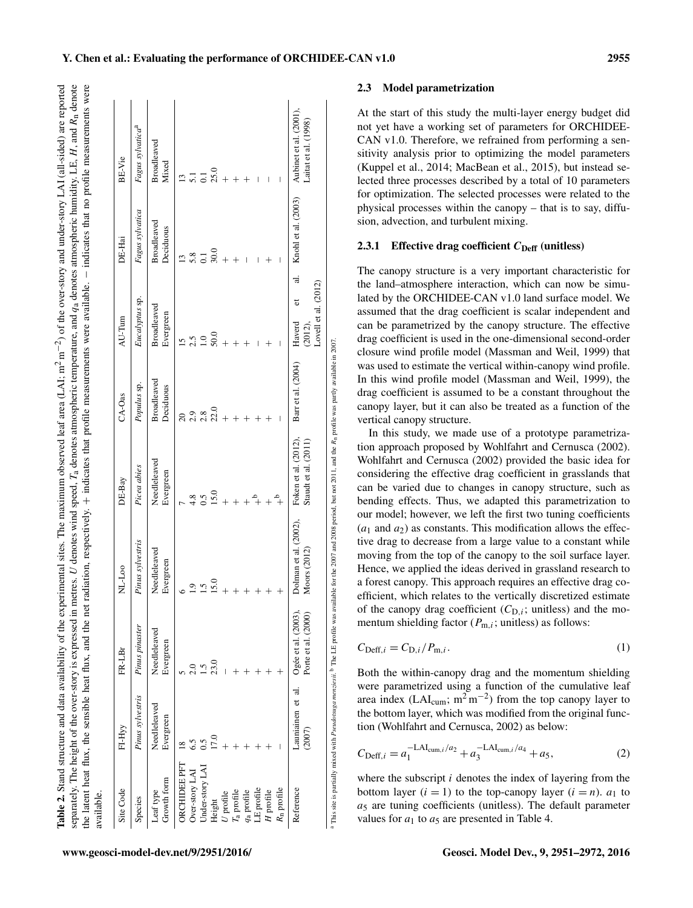<span id="page-4-0"></span>

| <b>lable 2.</b> Stand structure and data availability of the experimental sites. The maximum observed leaf area (LAI; m <sup>2</sup> m <sup>-2</sup> ) of the over-story and under-story LAI (all-sided) are reported |
|-----------------------------------------------------------------------------------------------------------------------------------------------------------------------------------------------------------------------|
| tres. U denotes wind speed, $T_a$ denotes atmospheric temperature, and $q_a$ denotes atmospheric humidity. LE, H, and $R_n$ denote<br>eparately. The height of the over-story is expressed in met                     |
| the latent heat flux, the sensible heat flux, and the net radiation, respectively. + indicates that profile measurements were available. - indicates that no profile measurements were                                |
| ahle                                                                                                                                                                                                                  |
|                                                                                                                                                                                                                       |

| available.               |                             |                                            |                                       |                                              |                                 |                                                     |                                 |                                                |
|--------------------------|-----------------------------|--------------------------------------------|---------------------------------------|----------------------------------------------|---------------------------------|-----------------------------------------------------|---------------------------------|------------------------------------------------|
| Site Code                | FI-Hyy                      | FR-LBr                                     | NL-Loo                                | DE-Bay                                       | CA-Oas                          | AU-Tum                                              | DE-Hai                          | BE-Vie                                         |
| Species                  | Pinus sylvestris            | Pinus pinaster                             | Pinus sylvestris                      | Picea abies                                  | Populus sp.                     | Eucalyptus sp.                                      | Fagus sylvatica                 | Fagus sylvatica <sup>a</sup>                   |
| Growth form<br>Leaf type | Needleleaved<br>Evergreen   | Needleleaved<br>Evergreen                  | Needleleaved<br>Evergreen             | Needleleaved<br>Evergreen                    | <b>Broadleaved</b><br>Deciduous | <b>Broadleaved</b><br>Evergreen                     | <b>Broadleaved</b><br>Deciduous | <b>Broadleaved</b><br>Mixed                    |
| <b>ORCHIDEE PFT</b>      | $\frac{8}{2}$               |                                            |                                       |                                              | $\overline{20}$                 | $\overline{5}$                                      | w                               | ن                                              |
| Over-story LAI           |                             |                                            | $\ddot{0}$                            |                                              | 2.9                             | 2.5                                                 | 5.8                             | ಸ                                              |
| Under-story LAI          | 0.5                         | $\ddot{ }$                                 | 1.5                                   | 0.5                                          | 2.8                             | $\supseteq$                                         | $\overline{0}$                  |                                                |
| Height                   | 17.0                        | 23.0                                       | 15.0                                  | 15.0                                         | 22.0                            | 50.0                                                | 30.0                            | 25.0                                           |
| $\boldsymbol{U}$ profile |                             |                                            | $^{+}$                                |                                              |                                 |                                                     |                                 |                                                |
| $T_a$ profile            |                             |                                            | $+$                                   |                                              |                                 |                                                     |                                 |                                                |
| $q_{\rm a}$ profile      |                             |                                            | $^{+}$                                |                                              |                                 |                                                     |                                 |                                                |
| LE profile               |                             |                                            | $\hspace{0.1mm} +$                    |                                              |                                 |                                                     |                                 |                                                |
| H profile                |                             |                                            | $^+$                                  |                                              |                                 |                                                     |                                 |                                                |
| R <sub>n</sub> profile   |                             |                                            |                                       |                                              |                                 |                                                     | I                               |                                                |
| Reference                | Launiainen et al.<br>(2007) | Ogée et al. (2003),<br>Porte et al. (2000) | Dolman et al. (2002),<br>Moors (2012) | Foken et al. (2012),<br>Staudt et al. (2011) | Barr et al. (2004)              | ಕ<br>Lovell et al. (2012)<br>đ<br>Haverd<br>(2012), | Knohl et al. (2003)             | Aubinet et al. (2001).<br>Laitat et al. (1998) |

#### <span id="page-4-1"></span>2.3 Model parametrization

At the start of this study the multi-layer energy budget did not yet have a working set of parameters for ORCHIDEE-CAN v1.0. Therefore, we refrained from performing a sensitivity analysis prior to optimizing the model parameters [\(Kuppel et al.,](#page-20-13) [2014;](#page-20-13) [MacBean et al.,](#page-20-14) [2015\)](#page-20-14), but instead selected three processes described by a total of 10 parameters for optimization. The selected processes were related to the physical processes within the canopy – that is to say, diffusion, advection, and turbulent mixing.

## 2.3.1 Effective drag coefficient  $C_{\text{Deff}}$  (unitless)

The canopy structure is a very important characteristic for the land–atmosphere interaction, which can now be simulated by the ORCHIDEE-CAN v1.0 land surface model. We assumed that the drag coefficient is scalar independent and can be parametrized by the canopy structure. The effective drag coefficient is used in the one-dimensional second-order closure wind profile model [\(Massman and Weil,](#page-20-7) [1999\)](#page-20-7) that was used to estimate the vertical within-canopy wind profile. In this wind profile model [\(Massman and Weil,](#page-20-7) [1999\)](#page-20-7), the drag coefficient is assumed to be a constant throughout the canopy layer, but it can also be treated as a function of the vertical canopy structure.

In this study, we made use of a prototype parametrization approach proposed by Wohlfahrt and Cernusca (2002). Wohlfahrt and Cernusca (2002) provided the basic idea for considering the effective drag coefficient in grasslands that can be varied due to changes in canopy structure, such as bending effects. Thus, we adapted this parametrization to our model; however, we left the first two tuning coefficients  $(a_1$  and  $a_2)$  as constants. This modification allows the effective drag to decrease from a large value to a constant while moving from the top of the canopy to the soil surface layer. Hence, we applied the ideas derived in grassland research to a forest canopy. This approach requires an effective drag coefficient, which relates to the vertically discretized estimate of the canopy drag coefficient  $(C_{D,i};$  unitless) and the momentum shielding factor ( $P_{m,i}$ ; unitless) as follows:

$$
C_{\text{Defi},i} = C_{\text{D},i}/P_{\text{m},i}.\tag{1}
$$

Both the within-canopy drag and the momentum shielding were parametrized using a function of the cumulative leaf area index (LAI<sub>cum</sub>; m<sup>2</sup>m<sup>-2</sup>) from the top canopy layer to the bottom layer, which was modified from the original function [\(Wohlfahrt and Cernusca,](#page-21-10) [2002\)](#page-21-10) as below:

<span id="page-4-2"></span>
$$
C_{\text{Deff},i} = a_1^{-\text{LAI}_{\text{cum},i}/a_2} + a_3^{-\text{LAI}_{\text{cum},i}/a_4} + a_5,\tag{2}
$$

where the subscript  $i$  denotes the index of layering from the bottom layer  $(i = 1)$  to the top-canopy layer  $(i = n)$ .  $a_1$  to  $a<sub>5</sub>$  are tuning coefficients (unitless). The default parameter values for  $a_1$  to  $a_5$  are presented in Table [4.](#page-5-1)

a

This site is partially mixed with *Pseudotsuga menziesii*.

This site is partially mixed with *Pseudosaga menziesi*.<sup>1</sup> The LE profile was available for the 2007 and 2008 period, but not 2011, and the R<sub>n</sub> profile was partly available in 2007

The LE profile was available for the 2007 and 2008 period, but not 2011, and the Rn profile was partly available in 2007.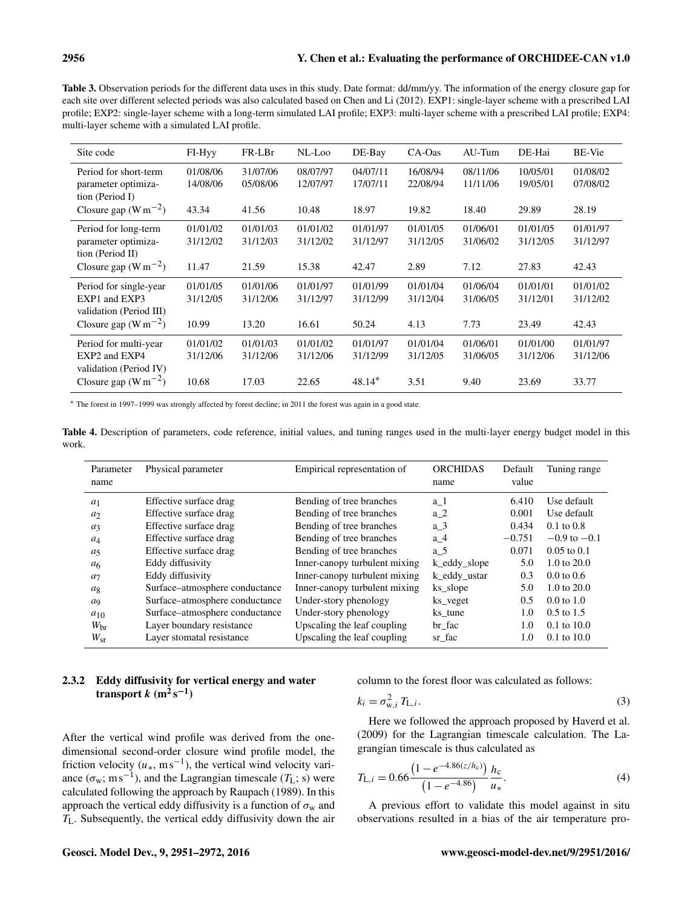<span id="page-5-0"></span>Table 3. Observation periods for the different data uses in this study. Date format: dd/mm/yy. The information of the energy closure gap for each site over different selected periods was also calculated based on [Chen and Li](#page-19-11) [\(2012\)](#page-19-11). EXP1: single-layer scheme with a prescribed LAI profile; EXP2: single-layer scheme with a long-term simulated LAI profile; EXP3: multi-layer scheme with a prescribed LAI profile; EXP4: multi-layer scheme with a simulated LAI profile.

| Site code                                                                                      | FI-Hyy                        | FR-LBr                        | NL-Loo                        | DE-Bay                        | $CA-Oas$                     | AU-Tum                       | DE-Hai                        | <b>BE-Vie</b>                 |
|------------------------------------------------------------------------------------------------|-------------------------------|-------------------------------|-------------------------------|-------------------------------|------------------------------|------------------------------|-------------------------------|-------------------------------|
| Period for short-term<br>parameter optimiza-<br>tion (Period I)                                | 01/08/06<br>14/08/06          | 31/07/06<br>05/08/06          | 08/07/97<br>12/07/97          | 04/07/11<br>17/07/11          | 16/08/94<br>22/08/94         | 08/11/06<br>11/11/06         | 10/05/01<br>19/05/01          | 01/08/02<br>07/08/02          |
| Closure gap $(W m^{-2})$                                                                       | 43.34                         | 41.56                         | 10.48                         | 18.97                         | 19.82                        | 18.40                        | 29.89                         | 28.19                         |
| Period for long-term<br>parameter optimiza-<br>tion (Period II)                                | 01/01/02<br>31/12/02          | 01/01/03<br>31/12/03          | 01/01/02<br>31/12/02          | 01/01/97<br>31/12/97          | 01/01/05<br>31/12/05         | 01/06/01<br>31/06/02         | 01/01/05<br>31/12/05          | 01/01/97<br>31/12/97          |
| Closure gap $(Wm^{-2})$                                                                        | 11.47                         | 21.59                         | 15.38                         | 42.47                         | 2.89                         | 7.12                         | 27.83                         | 42.43                         |
| Period for single-year<br>EXP1 and EXP3<br>validation (Period III)<br>Closure gap $(W m^{-2})$ | 01/01/05<br>31/12/05<br>10.99 | 01/01/06<br>31/12/06<br>13.20 | 01/01/97<br>31/12/97<br>16.61 | 01/01/99<br>31/12/99<br>50.24 | 01/01/04<br>31/12/04<br>4.13 | 01/06/04<br>31/06/05<br>7.73 | 01/01/01<br>31/12/01<br>23.49 | 01/01/02<br>31/12/02<br>42.43 |
| Period for multi-year<br>EXP2 and EXP4<br>validation (Period IV)                               | 01/01/02<br>31/12/06          | 01/01/03<br>31/12/06          | 01/01/02<br>31/12/06          | 01/01/97<br>31/12/99          | 01/01/04<br>31/12/05         | 01/06/01<br>31/06/05         | 01/01/00<br>31/12/06          | 01/01/97<br>31/12/06          |
| Closure gap $(W m^{-2})$                                                                       | 10.68                         | 17.03                         | 22.65                         | $48.14*$                      | 3.51                         | 9.40                         | 23.69                         | 33.77                         |

<sup>∗</sup> The forest in 1997–1999 was strongly affected by forest decline; in 2011 the forest was again in a good state.

<span id="page-5-1"></span>Table 4. Description of parameters, code reference, initial values, and tuning ranges used in the multi-layer energy budget model in this work.

| Parameter<br>name | Physical parameter             | Empirical representation of   | <b>ORCHIDAS</b><br>name | Default<br>value | Tuning range           |
|-------------------|--------------------------------|-------------------------------|-------------------------|------------------|------------------------|
| $a_1$             | Effective surface drag         | Bending of tree branches      | a_1                     | 6.410            | Use default            |
| a <sub>2</sub>    | Effective surface drag         | Bending of tree branches      | a <sub>2</sub>          | 0.001            | Use default            |
| $a_3$             | Effective surface drag         | Bending of tree branches      | $a_3$                   | 0.434            | $0.1 \text{ to } 0.8$  |
| $a_4$             | Effective surface drag         | Bending of tree branches      | $a_4$                   | $-0.751$         | $-0.9$ to $-0.1$       |
| a <sub>5</sub>    | Effective surface drag         | Bending of tree branches      | $a_{\overline{5}}$      | 0.071            | $0.05$ to $0.1$        |
| a <sub>6</sub>    | Eddy diffusivity               | Inner-canopy turbulent mixing | k eddy slope            | 5.0              | $1.0 \text{ to } 20.0$ |
| a <sub>7</sub>    | Eddy diffusivity               | Inner-canopy turbulent mixing | k eddy ustar            | 0.3              | $0.0 \text{ to } 0.6$  |
| $a_8$             | Surface-atmosphere conductance | Inner-canopy turbulent mixing | ks slope                | 5.0              | 1.0 to $20.0$          |
| a <sub>9</sub>    | Surface-atmosphere conductance | Under-story phenology         | ks_veget                | 0.5              | $0.0 \text{ to } 1.0$  |
| $a_{10}$          | Surface-atmosphere conductance | Under-story phenology         | ks tune                 | 1.0              | $0.5$ to 1.5           |
| $W_{\rm br}$      | Layer boundary resistance      | Upscaling the leaf coupling   | br_fac                  | 1.0              | $0.1$ to $10.0$        |
| $W_{\rm sr}$      | Layer stomatal resistance      | Upscaling the leaf coupling   | sr_fac                  | 1.0              | $0.1$ to $10.0$        |

# 2.3.2 Eddy diffusivity for vertical energy and water transport  $k \, (\text{m}^2 \text{s}^{-1})$

 $T_L$ . Subsequently, the vertical eddy diffusivity down the air

column to the forest floor was calculated as follows:

<span id="page-5-2"></span>
$$
k_i = \sigma_{w,i}^2 T_{L,i}.
$$
\n<sup>(3)</sup>

After the vertical wind profile was derived from the onedimensional second-order closure wind profile model, the friction velocity  $(u_*, \text{m s}^{-1})$ , the vertical wind velocity variance ( $\sigma_w$ ; ms<sup>-1</sup>), and the Lagrangian timescale ( $T_L$ ; s) were calculated following the approach by [Raupach](#page-21-11) [\(1989\)](#page-21-11). In this approach the vertical eddy diffusivity is a function of  $\sigma_w$  and  $T_{L,i} = 0.66$  $\overline{(}$  $\overline{(}$ 

Here we followed the approach proposed by [Haverd et al.](#page-20-15) [\(2009\)](#page-20-15) for the Lagrangian timescale calculation. The Lagrangian timescale is thus calculated as

$$
T_{L,i} = 0.66 \frac{\left(1 - e^{-4.86(z/h_c)}\right)}{\left(1 - e^{-4.86}\right)} \frac{h_c}{u_*}.
$$
\n<sup>(4)</sup>

A previous effort to validate this model against in situ observations resulted in a bias of the air temperature pro-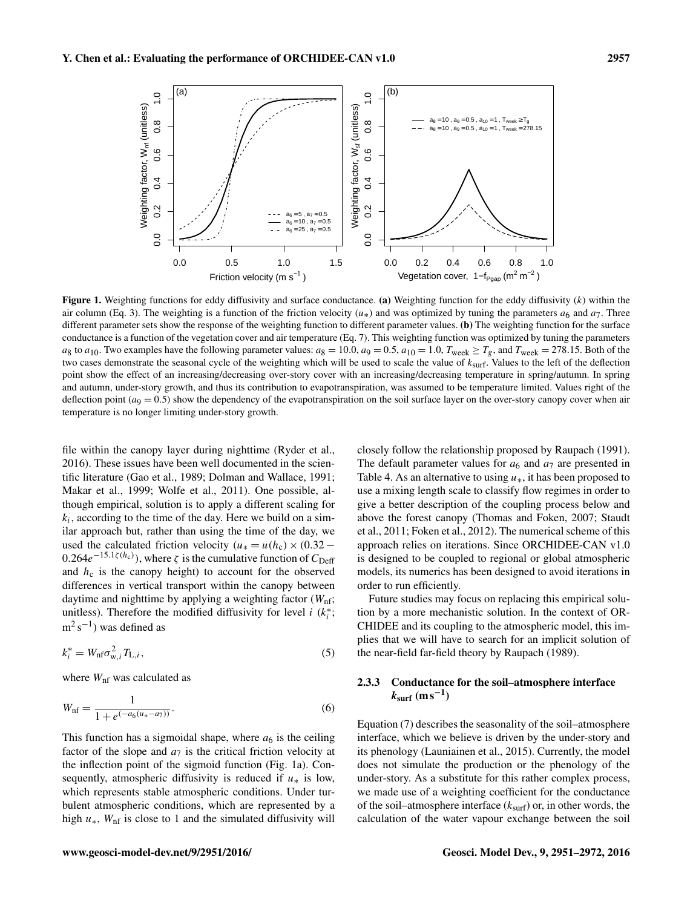<span id="page-6-0"></span>

Figure 1. Weighting functions for eddy diffusivity and surface conductance. (a) Weighting function for the eddy diffusivity  $(k)$  within the air column (Eq. [3\)](#page-5-2). The weighting is a function of the friction velocity (u\*) and was optimized by tuning the parameters  $a_6$  and  $a_7$ . Three different parameter sets show the response of the weighting function to different parameter values. (b) The weighting function for the surface conductance is a function of the vegetation cover and air temperature (Eq. [7\)](#page-7-0). This weighting function was optimized by tuning the parameters a<sub>8</sub> to a<sub>10</sub>. Two examples have the following parameter values:  $a_8 = 10.0$ ,  $a_9 = 0.5$ ,  $a_{10} = 1.0$ ,  $T_{\text{week}} \ge T_g$ , and  $T_{\text{week}} = 278.15$ . Both of the two cases demonstrate the seasonal cycle of the weighting which will be used to scale the value of  $k_{\text{surf}}$ . Values to the left of the deflection point show the effect of an increasing/decreasing over-story cover with an increasing/decreasing temperature in spring/autumn. In spring and autumn, under-story growth, and thus its contribution to evapotranspiration, was assumed to be temperature limited. Values right of the deflection point ( $a_9 = 0.5$ ) show the dependency of the evapotranspiration on the soil surface layer on the over-story canopy cover when air temperature is no longer limiting under-story growth.

file within the canopy layer during nighttime [\(Ryder et al.,](#page-21-5) [2016\)](#page-21-5). These issues have been well documented in the scientific literature [\(Gao et al.,](#page-19-5) [1989;](#page-19-5) [Dolman and Wallace,](#page-19-12) [1991;](#page-19-12) [Makar et al.,](#page-20-16) [1999;](#page-20-16) [Wolfe et al.,](#page-21-12) [2011\)](#page-21-12). One possible, although empirical, solution is to apply a different scaling for  $k_i$ , according to the time of the day. Here we build on a similar approach but, rather than using the time of the day, we used the calculated friction velocity ( $u_* = u(h_c) \times (0.32 -$ 0.264 $e^{-15.1\zeta(h_c)}$ ), where  $\zeta$  is the cumulative function of  $C_{\text{Def}}$ and  $h_c$  is the canopy height) to account for the observed differences in vertical transport within the canopy between daytime and nighttime by applying a weighting factor  $(W_{\text{nf}};$ unitless). Therefore the modified diffusivity for level  $i$  ( $k_i^*$ ;  $m^2 s^{-1}$ ) was defined as

$$
k_i^* = W_{\rm nf} \sigma_{\rm w,i}^2 T_{\rm L,i},\tag{5}
$$

<span id="page-6-1"></span>where  $W_{\text{nf}}$  was calculated as

$$
W_{\text{nf}} = \frac{1}{1 + e^{(-a_6(u_* - a_7))}}.
$$
\n(6)

This function has a sigmoidal shape, where  $a_6$  is the ceiling factor of the slope and  $a_7$  is the critical friction velocity at the inflection point of the sigmoid function (Fig. [1a](#page-6-0)). Consequently, atmospheric diffusivity is reduced if  $u_*$  is low, which represents stable atmospheric conditions. Under turbulent atmospheric conditions, which are represented by a high  $u_*$ , W<sub>nf</sub> is close to 1 and the simulated diffusivity will

closely follow the relationship proposed by [Raupach](#page-21-13) [\(1991\)](#page-21-13). The default parameter values for  $a_6$  and  $a_7$  are presented in Table [4.](#page-5-1) As an alternative to using  $u_{*}$ , it has been proposed to use a mixing length scale to classify flow regimes in order to give a better description of the coupling process below and above the forest canopy [\(Thomas and Foken,](#page-21-14) [2007;](#page-21-14) [Staudt](#page-21-4) [et al.,](#page-21-4) [2011;](#page-21-4) [Foken et al.,](#page-19-10) [2012\)](#page-19-10). The numerical scheme of this approach relies on iterations. Since ORCHIDEE-CAN v1.0 is designed to be coupled to regional or global atmospheric models, its numerics has been designed to avoid iterations in order to run efficiently.

Future studies may focus on replacing this empirical solution by a more mechanistic solution. In the context of OR-CHIDEE and its coupling to the atmospheric model, this implies that we will have to search for an implicit solution of the near-field far-field theory by Raupach (1989).

# 2.3.3 Conductance for the soil–atmosphere interface  $k_{\text{surf}}$  (m s<sup>-1</sup>)

Equation [\(7\)](#page-7-0) describes the seasonality of the soil–atmosphere interface, which we believe is driven by the under-story and its phenology [\(Launiainen et al.,](#page-20-3) [2015\)](#page-20-3). Currently, the model does not simulate the production or the phenology of the under-story. As a substitute for this rather complex process, we made use of a weighting coefficient for the conductance of the soil–atmosphere interface  $(k<sub>surf</sub>)$  or, in other words, the calculation of the water vapour exchange between the soil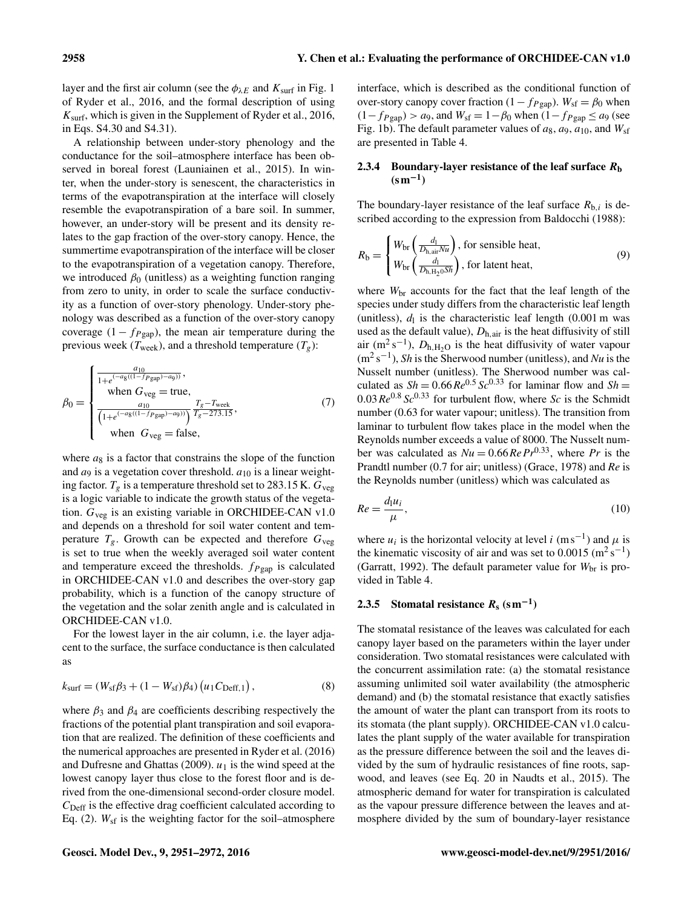layer and the first air column (see the  $\phi_{\lambda E}$  and  $K_{\text{surf}}$  in Fig. 1 of [Ryder et al.,](#page-21-5) [2016,](#page-21-5) and the formal description of using  $K<sub>surf</sub>$ , which is given in the Supplement of [Ryder et al.,](#page-21-5) [2016,](#page-21-5) in Eqs. S4.30 and S4.31).

A relationship between under-story phenology and the conductance for the soil–atmosphere interface has been observed in boreal forest [\(Launiainen et al.,](#page-20-3) [2015\)](#page-20-3). In winter, when the under-story is senescent, the characteristics in terms of the evapotranspiration at the interface will closely resemble the evapotranspiration of a bare soil. In summer, however, an under-story will be present and its density relates to the gap fraction of the over-story canopy. Hence, the summertime evapotranspiration of the interface will be closer to the evapotranspiration of a vegetation canopy. Therefore, we introduced  $\beta_0$  (unitless) as a weighting function ranging from zero to unity, in order to scale the surface conductivity as a function of over-story phenology. Under-story phenology was described as a function of the over-story canopy coverage  $(1 - f_{P\text{gap}})$ , the mean air temperature during the previous week ( $T_{\text{week}}$ ), and a threshold temperature ( $T_g$ ):

$$
\beta_0 = \begin{cases}\n\frac{a_{10}}{1 + e^{(-a_8((1 - f_{\text{gap}}) - a_9))}},\\
\text{when } G_{\text{veg}} = \text{true},\\
\frac{a_{10}}{(1 + e^{(-a_8((1 - f_{\text{map}}) - a_9))})} \frac{T_g - T_{\text{week}}}{T_g - 273.15},\\
\text{when } G_{\text{veg}} = \text{false},\n\end{cases} (7)
$$

where  $a_8$  is a factor that constrains the slope of the function and  $a_9$  is a vegetation cover threshold.  $a_{10}$  is a linear weighting factor.  $T_g$  is a temperature threshold set to 283.15 K.  $G_{\text{veg}}$ is a logic variable to indicate the growth status of the vegetation.  $G_{\text{veg}}$  is an existing variable in ORCHIDEE-CAN v1.0 and depends on a threshold for soil water content and temperature  $T<sub>g</sub>$ . Growth can be expected and therefore  $G<sub>veg</sub>$ is set to true when the weekly averaged soil water content and temperature exceed the thresholds.  $f_{P\text{gap}}$  is calculated in ORCHIDEE-CAN v1.0 and describes the over-story gap probability, which is a function of the canopy structure of the vegetation and the solar zenith angle and is calculated in ORCHIDEE-CAN v1.0.

For the lowest layer in the air column, i.e. the layer adjacent to the surface, the surface conductance is then calculated as

$$
k_{\rm surf} = (W_{\rm sf} \beta_3 + (1 - W_{\rm sf}) \beta_4) (u_1 C_{\rm DefI,1}),
$$
\n(8)

where  $\beta_3$  and  $\beta_4$  are coefficients describing respectively the fractions of the potential plant transpiration and soil evaporation that are realized. The definition of these coefficients and the numerical approaches are presented in [Ryder et al.](#page-21-5) [\(2016\)](#page-21-5) and [Dufresne and Ghattas](#page-19-13) [\(2009\)](#page-19-13).  $u_1$  is the wind speed at the lowest canopy layer thus close to the forest floor and is derived from the one-dimensional second-order closure model.  $C_{\text{Defi}}$  is the effective drag coefficient calculated according to Eq. [\(2\)](#page-4-2).  $W_{\text{sf}}$  is the weighting factor for the soil–atmosphere interface, which is described as the conditional function of over-story canopy cover fraction (1 –  $f_{P\text{gap}}$ ).  $W_{\text{sf}} = \beta_0$  when  $(1-f_{P\text{gap}}) > a_9$ , and  $W_{\text{sf}} = 1 - \beta_0$  when  $(1-f_{P\text{gap}} \le a_9)$  (see Fig. [1b](#page-6-0)). The default parameter values of  $a_8$ ,  $a_9$ ,  $a_{10}$ , and  $W_{\rm sf}$ are presented in Table [4.](#page-5-1)

# 2.3.4 Boundary-layer resistance of the leaf surface  $R<sub>b</sub>$  $\left(\mathrm{sm}^{-1}\right)$

The boundary-layer resistance of the leaf surface  $R_{b,i}$  is described according to the expression from [Baldocchi](#page-18-1) [\(1988\)](#page-18-1):

$$
R_{\rm b} = \begin{cases} W_{\rm br} \left( \frac{d_{\rm l}}{D_{\rm h, air} N u} \right), \text{ for sensible heat,} \\ W_{\rm br} \left( \frac{d_{\rm l}}{D_{\rm h, H_2 0} S h} \right), \text{ for latent heat,} \end{cases}
$$
(9)

<span id="page-7-0"></span>where  $W_{\text{br}}$  accounts for the fact that the leaf length of the species under study differs from the characteristic leaf length (unitless),  $d<sub>l</sub>$  is the characteristic leaf length (0.001 m was used as the default value),  $D_{h,air}$  is the heat diffusivity of still air  $(m^2 s^{-1})$ ,  $D_{h,H_2O}$  is the heat diffusivity of water vapour  $(m<sup>2</sup> s<sup>-1</sup>)$ , *Sh* is the Sherwood number (unitless), and *Nu* is the Nusselt number (unitless). The Sherwood number was calculated as  $Sh = 0.66 Re^{0.5} Sc^{0.33}$  for laminar flow and  $Sh =$  $0.03 Re^{0.8} Sc^{0.33}$  for turbulent flow, where *Sc* is the Schmidt number (0.63 for water vapour; unitless). The transition from laminar to turbulent flow takes place in the model when the Reynolds number exceeds a value of 8000. The Nusselt number was calculated as  $Nu = 0.66 Re Pr^{0.33}$ , where *Pr* is the Prandtl number (0.7 for air; unitless) [\(Grace,](#page-19-14) [1978\)](#page-19-14) and *Re* is the Reynolds number (unitless) which was calculated as

$$
Re = \frac{d_1 u_i}{\mu},\tag{10}
$$

where  $u_i$  is the horizontal velocity at level i (ms<sup>-1</sup>) and  $\mu$  is the kinematic viscosity of air and was set to  $0.0015$  (m<sup>2</sup> s<sup>-1</sup>) [\(Garratt,](#page-19-15) [1992\)](#page-19-15). The default parameter value for  $W_{\text{br}}$  is provided in Table [4.](#page-5-1)

# 2.3.5 Stomatal resistance  $R_s$  (sm<sup>-1</sup>)

The stomatal resistance of the leaves was calculated for each canopy layer based on the parameters within the layer under consideration. Two stomatal resistances were calculated with the concurrent assimilation rate: (a) the stomatal resistance assuming unlimited soil water availability (the atmospheric demand) and (b) the stomatal resistance that exactly satisfies the amount of water the plant can transport from its roots to its stomata (the plant supply). ORCHIDEE-CAN v1.0 calculates the plant supply of the water available for transpiration as the pressure difference between the soil and the leaves divided by the sum of hydraulic resistances of fine roots, sapwood, and leaves (see Eq. 20 in [Naudts et al.,](#page-20-5) [2015\)](#page-20-5). The atmospheric demand for water for transpiration is calculated as the vapour pressure difference between the leaves and atmosphere divided by the sum of boundary-layer resistance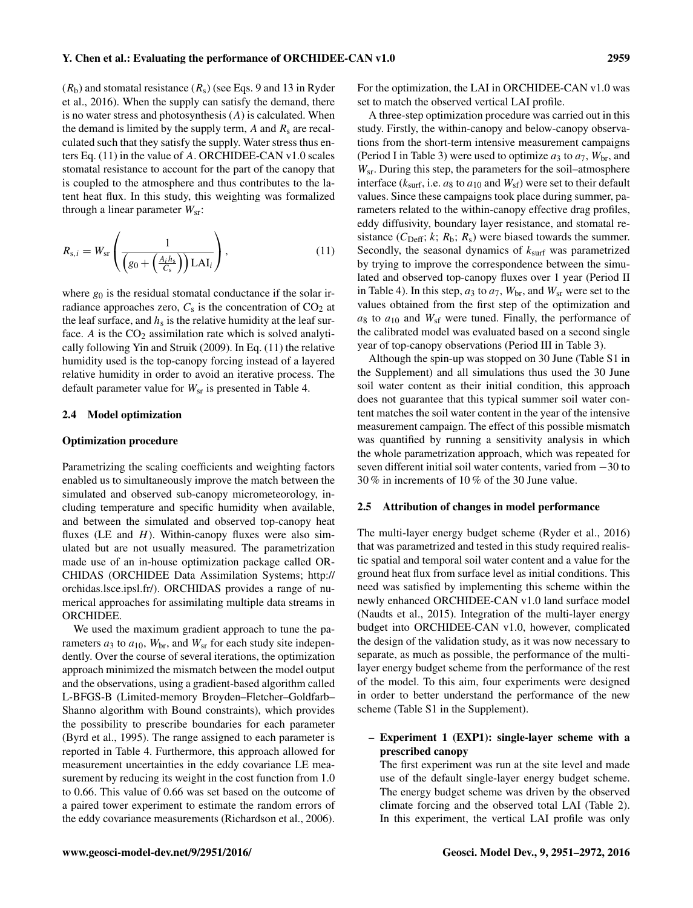#### Y. Chen et al.: Evaluating the performance of ORCHIDEE-CAN v1.0 2959

 $(R_b)$  and stomatal resistance  $(R_s)$  (see Eqs. 9 and 13 in [Ryder](#page-21-5) [et al.,](#page-21-5) [2016\)](#page-21-5). When the supply can satisfy the demand, there is no water stress and photosynthesis  $(A)$  is calculated. When the demand is limited by the supply term,  $A$  and  $R_s$  are recalculated such that they satisfy the supply. Water stress thus enters Eq. (11) in the value of A. ORCHIDEE-CAN v1.0 scales stomatal resistance to account for the part of the canopy that is coupled to the atmosphere and thus contributes to the latent heat flux. In this study, this weighting was formalized through a linear parameter  $W_{sr}$ :

<span id="page-8-1"></span>
$$
R_{s,i} = W_{\rm sr} \left( \frac{1}{\left( g_0 + \left( \frac{A_i h_s}{C_s} \right) \right) \text{LAI}_i} \right),\tag{11}
$$

where  $g_0$  is the residual stomatal conductance if the solar irradiance approaches zero,  $C_s$  is the concentration of  $CO_2$  at the leaf surface, and  $h_s$  is the relative humidity at the leaf surface. A is the  $CO<sub>2</sub>$  assimilation rate which is solved analytically following [Yin and Struik](#page-21-7) [\(2009\)](#page-21-7). In Eq. [\(11\)](#page-8-1) the relative humidity used is the top-canopy forcing instead of a layered relative humidity in order to avoid an iterative process. The default parameter value for  $W_{sr}$  is presented in Table [4.](#page-5-1)

#### 2.4 Model optimization

#### Optimization procedure

Parametrizing the scaling coefficients and weighting factors enabled us to simultaneously improve the match between the simulated and observed sub-canopy micrometeorology, including temperature and specific humidity when available, and between the simulated and observed top-canopy heat fluxes (LE and  $H$ ). Within-canopy fluxes were also simulated but are not usually measured. The parametrization made use of an in-house optimization package called OR-CHIDAS (ORCHIDEE Data Assimilation Systems; [http://](http://orchidas.lsce.ipsl.fr/) [orchidas.lsce.ipsl.fr/\)](http://orchidas.lsce.ipsl.fr/). ORCHIDAS provides a range of numerical approaches for assimilating multiple data streams in ORCHIDEE.

We used the maximum gradient approach to tune the parameters  $a_3$  to  $a_{10}$ ,  $W_{\text{br}}$ , and  $W_{\text{sr}}$  for each study site independently. Over the course of several iterations, the optimization approach minimized the mismatch between the model output and the observations, using a gradient-based algorithm called L-BFGS-B (Limited-memory Broyden–Fletcher–Goldfarb– Shanno algorithm with Bound constraints), which provides the possibility to prescribe boundaries for each parameter [\(Byrd et al.,](#page-19-16) [1995\)](#page-19-16). The range assigned to each parameter is reported in Table [4.](#page-5-1) Furthermore, this approach allowed for measurement uncertainties in the eddy covariance LE measurement by reducing its weight in the cost function from 1.0 to 0.66. This value of 0.66 was set based on the outcome of a paired tower experiment to estimate the random errors of the eddy covariance measurements [\(Richardson et al.,](#page-21-15) [2006\)](#page-21-15).

For the optimization, the LAI in ORCHIDEE-CAN v1.0 was set to match the observed vertical LAI profile.

A three-step optimization procedure was carried out in this study. Firstly, the within-canopy and below-canopy observations from the short-term intensive measurement campaigns (Period I in Table [3\)](#page-5-0) were used to optimize  $a_3$  to  $a_7$ ,  $W_{\text{br}}$ , and  $W_{sr}$ . During this step, the parameters for the soil–atmosphere interface ( $k_{\text{surf}}$ , i.e.  $a_8$  to  $a_{10}$  and  $W_{\text{sf}}$ ) were set to their default values. Since these campaigns took place during summer, parameters related to the within-canopy effective drag profiles, eddy diffusivity, boundary layer resistance, and stomatal resistance ( $C_{\text{Defi}}$ ; k;  $R_{\text{b}}$ ;  $R_{\text{s}}$ ) were biased towards the summer. Secondly, the seasonal dynamics of  $k_{\text{surf}}$  was parametrized by trying to improve the correspondence between the simulated and observed top-canopy fluxes over 1 year (Period II in Table [4\)](#page-5-1). In this step,  $a_3$  to  $a_7$ ,  $W_{\text{br}}$ , and  $W_{\text{sr}}$  were set to the values obtained from the first step of the optimization and  $a_8$  to  $a_{10}$  and  $W_{\text{sf}}$  were tuned. Finally, the performance of the calibrated model was evaluated based on a second single year of top-canopy observations (Period III in Table [3\)](#page-5-0).

Although the spin-up was stopped on 30 June (Table S1 in the Supplement) and all simulations thus used the 30 June soil water content as their initial condition, this approach does not guarantee that this typical summer soil water content matches the soil water content in the year of the intensive measurement campaign. The effect of this possible mismatch was quantified by running a sensitivity analysis in which the whole parametrization approach, which was repeated for seven different initial soil water contents, varied from −30 to 30 % in increments of 10 % of the 30 June value.

#### <span id="page-8-0"></span>2.5 Attribution of changes in model performance

The multi-layer energy budget scheme [\(Ryder et al.,](#page-21-5) [2016\)](#page-21-5) that was parametrized and tested in this study required realistic spatial and temporal soil water content and a value for the ground heat flux from surface level as initial conditions. This need was satisfied by implementing this scheme within the newly enhanced ORCHIDEE-CAN v1.0 land surface model [\(Naudts et al.,](#page-20-5) [2015\)](#page-20-5). Integration of the multi-layer energy budget into ORCHIDEE-CAN v1.0, however, complicated the design of the validation study, as it was now necessary to separate, as much as possible, the performance of the multilayer energy budget scheme from the performance of the rest of the model. To this aim, four experiments were designed in order to better understand the performance of the new scheme (Table S1 in the Supplement).

## – Experiment 1 (EXP1): single-layer scheme with a prescribed canopy

The first experiment was run at the site level and made use of the default single-layer energy budget scheme. The energy budget scheme was driven by the observed climate forcing and the observed total LAI (Table [2\)](#page-4-0). In this experiment, the vertical LAI profile was only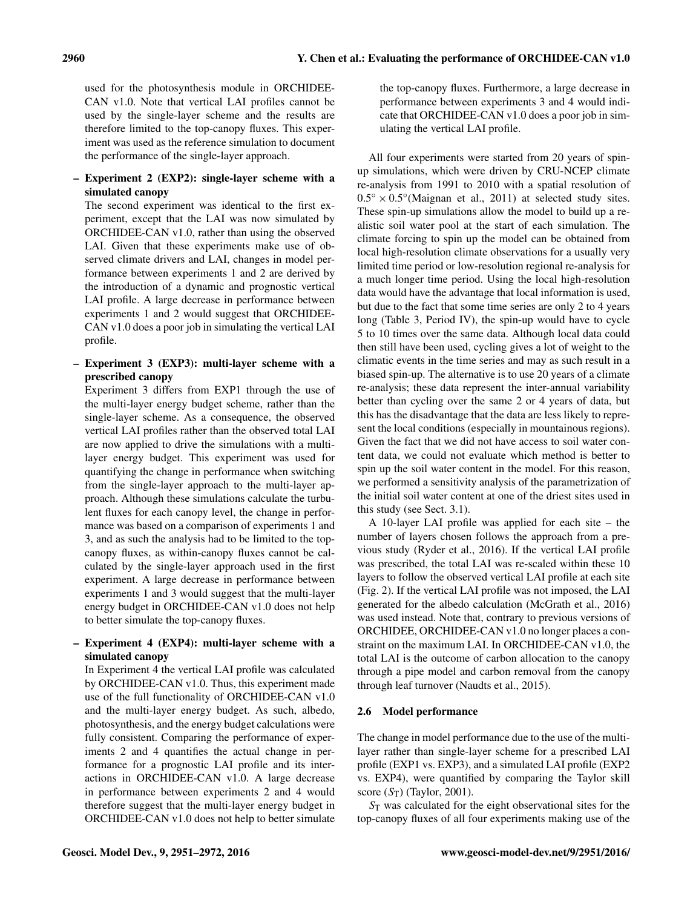# – Experiment 2 (EXP2): single-layer scheme with a simulated canopy

The second experiment was identical to the first experiment, except that the LAI was now simulated by ORCHIDEE-CAN v1.0, rather than using the observed LAI. Given that these experiments make use of observed climate drivers and LAI, changes in model performance between experiments 1 and 2 are derived by the introduction of a dynamic and prognostic vertical LAI profile. A large decrease in performance between experiments 1 and 2 would suggest that ORCHIDEE-CAN v1.0 does a poor job in simulating the vertical LAI profile.

– Experiment 3 (EXP3): multi-layer scheme with a prescribed canopy

Experiment 3 differs from EXP1 through the use of the multi-layer energy budget scheme, rather than the single-layer scheme. As a consequence, the observed vertical LAI profiles rather than the observed total LAI are now applied to drive the simulations with a multilayer energy budget. This experiment was used for quantifying the change in performance when switching from the single-layer approach to the multi-layer approach. Although these simulations calculate the turbulent fluxes for each canopy level, the change in performance was based on a comparison of experiments 1 and 3, and as such the analysis had to be limited to the topcanopy fluxes, as within-canopy fluxes cannot be calculated by the single-layer approach used in the first experiment. A large decrease in performance between experiments 1 and 3 would suggest that the multi-layer energy budget in ORCHIDEE-CAN v1.0 does not help to better simulate the top-canopy fluxes.

# – Experiment 4 (EXP4): multi-layer scheme with a simulated canopy

In Experiment 4 the vertical LAI profile was calculated by ORCHIDEE-CAN v1.0. Thus, this experiment made use of the full functionality of ORCHIDEE-CAN v1.0 and the multi-layer energy budget. As such, albedo, photosynthesis, and the energy budget calculations were fully consistent. Comparing the performance of experiments 2 and 4 quantifies the actual change in performance for a prognostic LAI profile and its interactions in ORCHIDEE-CAN v1.0. A large decrease in performance between experiments 2 and 4 would therefore suggest that the multi-layer energy budget in ORCHIDEE-CAN v1.0 does not help to better simulate

the top-canopy fluxes. Furthermore, a large decrease in performance between experiments 3 and 4 would indicate that ORCHIDEE-CAN v1.0 does a poor job in simulating the vertical LAI profile.

All four experiments were started from 20 years of spinup simulations, which were driven by CRU-NCEP climate re-analysis from 1991 to 2010 with a spatial resolution of 0.5◦ × 0.5◦ [\(Maignan et al.,](#page-20-17) [2011\)](#page-20-17) at selected study sites. These spin-up simulations allow the model to build up a realistic soil water pool at the start of each simulation. The climate forcing to spin up the model can be obtained from local high-resolution climate observations for a usually very limited time period or low-resolution regional re-analysis for a much longer time period. Using the local high-resolution data would have the advantage that local information is used, but due to the fact that some time series are only 2 to 4 years long (Table [3,](#page-5-0) Period IV), the spin-up would have to cycle 5 to 10 times over the same data. Although local data could then still have been used, cycling gives a lot of weight to the climatic events in the time series and may as such result in a biased spin-up. The alternative is to use 20 years of a climate re-analysis; these data represent the inter-annual variability better than cycling over the same 2 or 4 years of data, but this has the disadvantage that the data are less likely to represent the local conditions (especially in mountainous regions). Given the fact that we did not have access to soil water content data, we could not evaluate which method is better to spin up the soil water content in the model. For this reason, we performed a sensitivity analysis of the parametrization of the initial soil water content at one of the driest sites used in this study (see Sect. 3.1).

A 10-layer LAI profile was applied for each site – the number of layers chosen follows the approach from a previous study [\(Ryder et al.,](#page-21-5) [2016\)](#page-21-5). If the vertical LAI profile was prescribed, the total LAI was re-scaled within these 10 layers to follow the observed vertical LAI profile at each site (Fig. [2\)](#page-10-0). If the vertical LAI profile was not imposed, the LAI generated for the albedo calculation [\(McGrath et al.,](#page-20-6) [2016\)](#page-20-6) was used instead. Note that, contrary to previous versions of ORCHIDEE, ORCHIDEE-CAN v1.0 no longer places a constraint on the maximum LAI. In ORCHIDEE-CAN v1.0, the total LAI is the outcome of carbon allocation to the canopy through a pipe model and carbon removal from the canopy through leaf turnover [\(Naudts et al.,](#page-20-5) [2015\)](#page-20-5).

# 2.6 Model performance

The change in model performance due to the use of the multilayer rather than single-layer scheme for a prescribed LAI profile (EXP1 vs. EXP3), and a simulated LAI profile (EXP2 vs. EXP4), were quantified by comparing the Taylor skill score  $(S_T)$  [\(Taylor,](#page-21-16) [2001\)](#page-21-16).

 $S_T$  was calculated for the eight observational sites for the top-canopy fluxes of all four experiments making use of the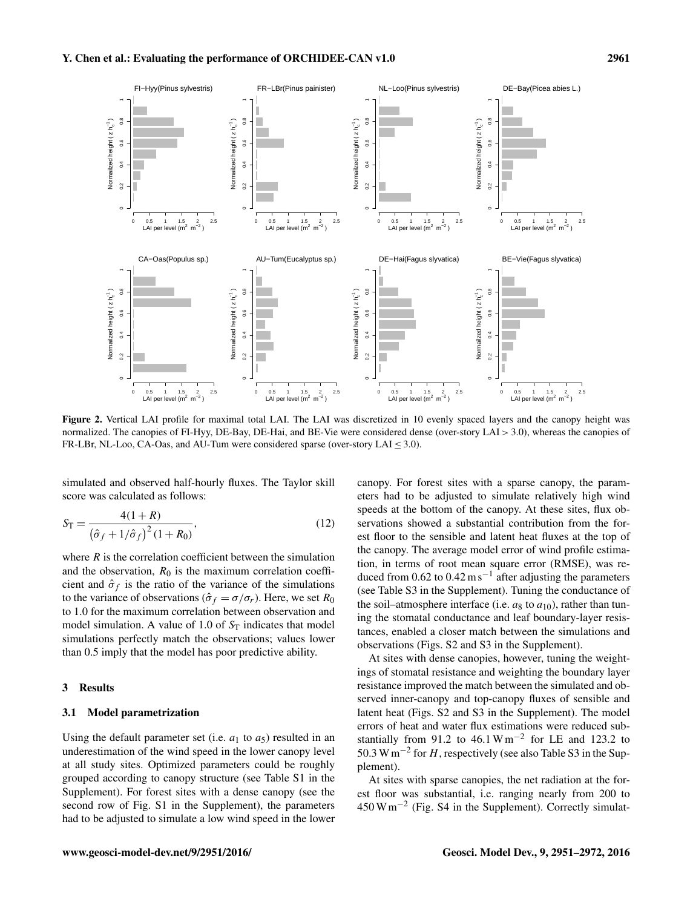<span id="page-10-0"></span>

Figure 2. Vertical LAI profile for maximal total LAI. The LAI was discretized in 10 evenly spaced layers and the canopy height was normalized. The canopies of FI-Hyy, DE-Bay, DE-Hai, and BE-Vie were considered dense (over-story LAI > 3.0), whereas the canopies of FR-LBr, NL-Loo, CA-Oas, and AU-Tum were considered sparse (over-story LAI  $\leq$  3.0).

simulated and observed half-hourly fluxes. The Taylor skill score was calculated as follows:

$$
S_{\rm T} = \frac{4(1+R)}{(\hat{\sigma}_f + 1/\hat{\sigma}_f)^2 (1+R_0)},\tag{12}
$$

where  $R$  is the correlation coefficient between the simulation and the observation,  $R_0$  is the maximum correlation coefficient and  $\hat{\sigma}_f$  is the ratio of the variance of the simulations to the variance of observations ( $\hat{\sigma}_f = \sigma/\sigma_r$ ). Here, we set  $R_0$ to 1.0 for the maximum correlation between observation and model simulation. A value of 1.0 of  $S_T$  indicates that model simulations perfectly match the observations; values lower than 0.5 imply that the model has poor predictive ability.

#### 3 Results

### 3.1 Model parametrization

Using the default parameter set (i.e.  $a_1$  to  $a_5$ ) resulted in an underestimation of the wind speed in the lower canopy level at all study sites. Optimized parameters could be roughly grouped according to canopy structure (see Table S1 in the Supplement). For forest sites with a dense canopy (see the second row of Fig. S1 in the Supplement), the parameters had to be adjusted to simulate a low wind speed in the lower

canopy. For forest sites with a sparse canopy, the parameters had to be adjusted to simulate relatively high wind speeds at the bottom of the canopy. At these sites, flux observations showed a substantial contribution from the forest floor to the sensible and latent heat fluxes at the top of the canopy. The average model error of wind profile estimation, in terms of root mean square error (RMSE), was reduced from  $0.62$  to  $0.42 \text{ m s}^{-1}$  after adjusting the parameters (see Table S3 in the Supplement). Tuning the conductance of the soil–atmosphere interface (i.e.  $a_8$  to  $a_{10}$ ), rather than tuning the stomatal conductance and leaf boundary-layer resistances, enabled a closer match between the simulations and observations (Figs. S2 and S3 in the Supplement).

At sites with dense canopies, however, tuning the weightings of stomatal resistance and weighting the boundary layer resistance improved the match between the simulated and observed inner-canopy and top-canopy fluxes of sensible and latent heat (Figs. S2 and S3 in the Supplement). The model errors of heat and water flux estimations were reduced substantially from 91.2 to  $46.1 \text{ W m}^{-2}$  for LE and 123.2 to 50.3 W m<sup>-2</sup> for H, respectively (see also Table S3 in the Supplement).

At sites with sparse canopies, the net radiation at the forest floor was substantial, i.e. ranging nearly from 200 to 450 Wm−<sup>2</sup> (Fig. S4 in the Supplement). Correctly simulat-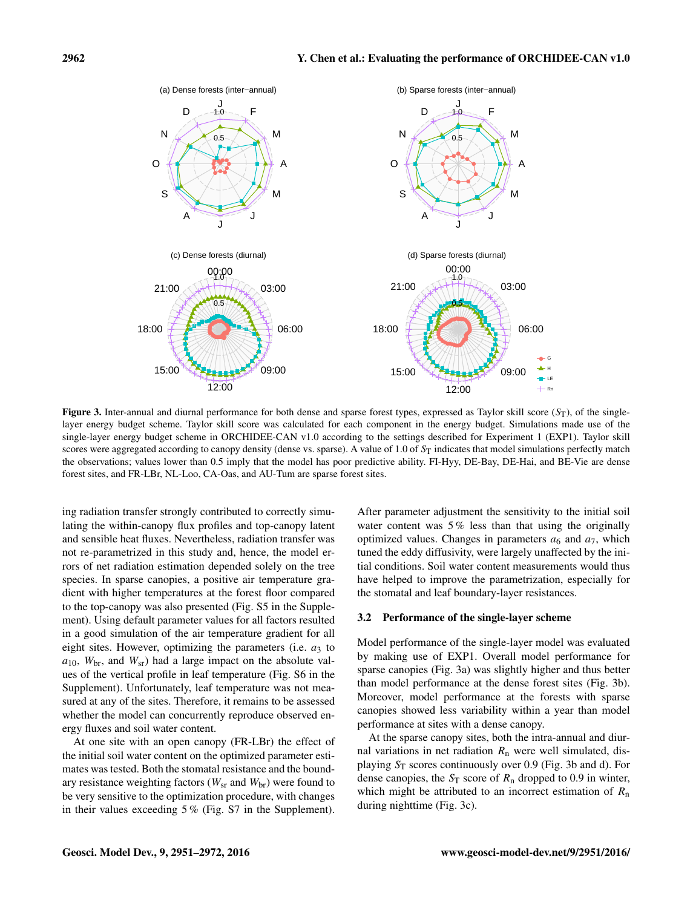<span id="page-11-0"></span>

**Figure 3.** Inter-annual and diurnal performance for both dense and sparse forest types, expressed as Taylor skill score  $(S_T)$ , of the singlelayer energy budget scheme. Taylor skill score was calculated for each component in the energy budget. Simulations made use of the single-layer energy budget scheme in ORCHIDEE-CAN v1.0 according to the settings described for Experiment 1 (EXP1). Taylor skill scores were aggregated according to canopy density (dense vs. sparse). A value of 1.0 of  $S_T$  indicates that model simulations perfectly match the observations; values lower than 0.5 imply that the model has poor predictive ability. FI-Hyy, DE-Bay, DE-Hai, and BE-Vie are dense forest sites, and FR-LBr, NL-Loo, CA-Oas, and AU-Tum are sparse forest sites.

ing radiation transfer strongly contributed to correctly simulating the within-canopy flux profiles and top-canopy latent and sensible heat fluxes. Nevertheless, radiation transfer was not re-parametrized in this study and, hence, the model errors of net radiation estimation depended solely on the tree species. In sparse canopies, a positive air temperature gradient with higher temperatures at the forest floor compared to the top-canopy was also presented (Fig. S5 in the Supplement). Using default parameter values for all factors resulted in a good simulation of the air temperature gradient for all eight sites. However, optimizing the parameters (i.e.  $a_3$  to  $a_{10}$ ,  $W_{\text{br}}$ , and  $W_{\text{sr}}$ ) had a large impact on the absolute values of the vertical profile in leaf temperature (Fig. S6 in the Supplement). Unfortunately, leaf temperature was not measured at any of the sites. Therefore, it remains to be assessed whether the model can concurrently reproduce observed energy fluxes and soil water content.

At one site with an open canopy (FR-LBr) the effect of the initial soil water content on the optimized parameter estimates was tested. Both the stomatal resistance and the boundary resistance weighting factors ( $W_{\rm sr}$  and  $W_{\rm br}$ ) were found to be very sensitive to the optimization procedure, with changes in their values exceeding 5 % (Fig. S7 in the Supplement).

After parameter adjustment the sensitivity to the initial soil water content was  $5\%$  less than that using the originally optimized values. Changes in parameters  $a<sub>6</sub>$  and  $a<sub>7</sub>$ , which tuned the eddy diffusivity, were largely unaffected by the initial conditions. Soil water content measurements would thus have helped to improve the parametrization, especially for the stomatal and leaf boundary-layer resistances.

### 3.2 Performance of the single-layer scheme

Model performance of the single-layer model was evaluated by making use of EXP1. Overall model performance for sparse canopies (Fig. [3a](#page-11-0)) was slightly higher and thus better than model performance at the dense forest sites (Fig. [3b](#page-11-0)). Moreover, model performance at the forests with sparse canopies showed less variability within a year than model performance at sites with a dense canopy.

At the sparse canopy sites, both the intra-annual and diurnal variations in net radiation  $R_n$  were well simulated, displaying  $S_T$  scores continuously over 0.9 (Fig. [3b](#page-11-0) and d). For dense canopies, the  $S_T$  score of  $R_n$  dropped to 0.9 in winter, which might be attributed to an incorrect estimation of  $R_n$ during nighttime (Fig. [3c](#page-11-0)).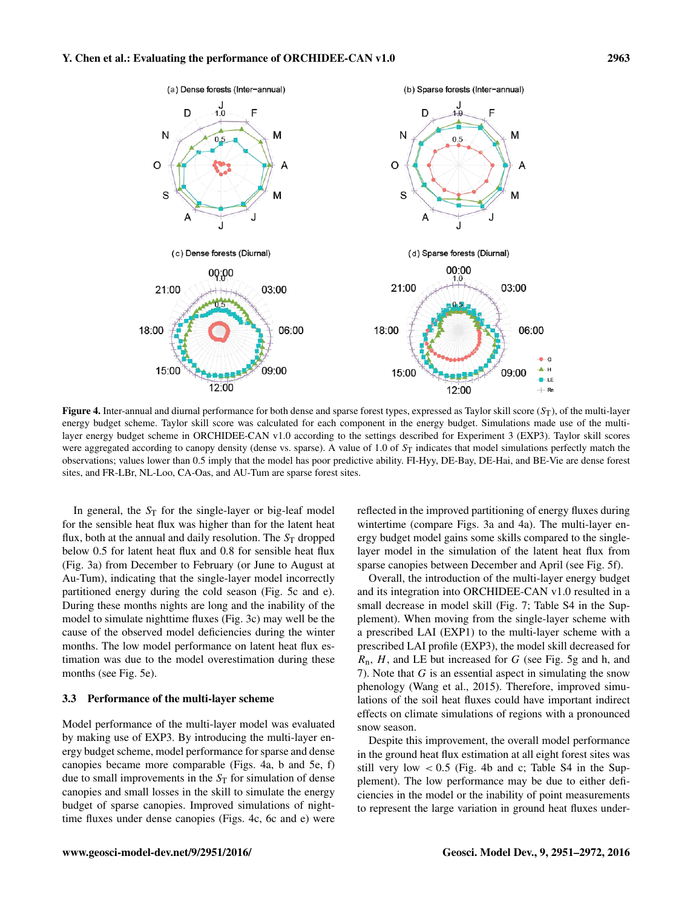<span id="page-12-0"></span>

Figure 4. Inter-annual and diurnal performance for both dense and sparse forest types, expressed as Taylor skill score  $(S_T)$ , of the multi-layer energy budget scheme. Taylor skill score was calculated for each component in the energy budget. Simulations made use of the multilayer energy budget scheme in ORCHIDEE-CAN v1.0 according to the settings described for Experiment 3 (EXP3). Taylor skill scores were aggregated according to canopy density (dense vs. sparse). A value of 1.0 of  $S_T$  indicates that model simulations perfectly match the observations; values lower than 0.5 imply that the model has poor predictive ability. FI-Hyy, DE-Bay, DE-Hai, and BE-Vie are dense forest sites, and FR-LBr, NL-Loo, CA-Oas, and AU-Tum are sparse forest sites.

In general, the  $S_T$  for the single-layer or big-leaf model for the sensible heat flux was higher than for the latent heat flux, both at the annual and daily resolution. The  $S_T$  dropped below 0.5 for latent heat flux and 0.8 for sensible heat flux (Fig. [3a](#page-11-0)) from December to February (or June to August at Au-Tum), indicating that the single-layer model incorrectly partitioned energy during the cold season (Fig. [5c](#page-13-0) and e). During these months nights are long and the inability of the model to simulate nighttime fluxes (Fig. [3c](#page-11-0)) may well be the cause of the observed model deficiencies during the winter months. The low model performance on latent heat flux estimation was due to the model overestimation during these months (see Fig. [5e](#page-13-0)).

#### 3.3 Performance of the multi-layer scheme

Model performance of the multi-layer model was evaluated by making use of EXP3. By introducing the multi-layer energy budget scheme, model performance for sparse and dense canopies became more comparable (Figs. [4a](#page-12-0), b and [5e](#page-13-0), f) due to small improvements in the  $S_T$  for simulation of dense canopies and small losses in the skill to simulate the energy budget of sparse canopies. Improved simulations of nighttime fluxes under dense canopies (Figs. [4c](#page-12-0), [6c](#page-14-0) and e) were reflected in the improved partitioning of energy fluxes during wintertime (compare Figs. [3a](#page-11-0) and [4a](#page-12-0)). The multi-layer energy budget model gains some skills compared to the singlelayer model in the simulation of the latent heat flux from sparse canopies between December and April (see Fig. [5f](#page-13-0)).

Overall, the introduction of the multi-layer energy budget and its integration into ORCHIDEE-CAN v1.0 resulted in a small decrease in model skill (Fig. [7;](#page-15-0) Table S4 in the Supplement). When moving from the single-layer scheme with a prescribed LAI (EXP1) to the multi-layer scheme with a prescribed LAI profile (EXP3), the model skill decreased for  $R_n$ ,  $H$ , and LE but increased for  $G$  (see Fig. [5g](#page-13-0) and h, and [7\)](#page-15-0). Note that G is an essential aspect in simulating the snow phenology [\(Wang et al.,](#page-21-17) [2015\)](#page-21-17). Therefore, improved simulations of the soil heat fluxes could have important indirect effects on climate simulations of regions with a pronounced snow season.

Despite this improvement, the overall model performance in the ground heat flux estimation at all eight forest sites was still very low  $< 0.5$  (Fig. [4b](#page-12-0) and c; Table S4 in the Supplement). The low performance may be due to either deficiencies in the model or the inability of point measurements to represent the large variation in ground heat fluxes under-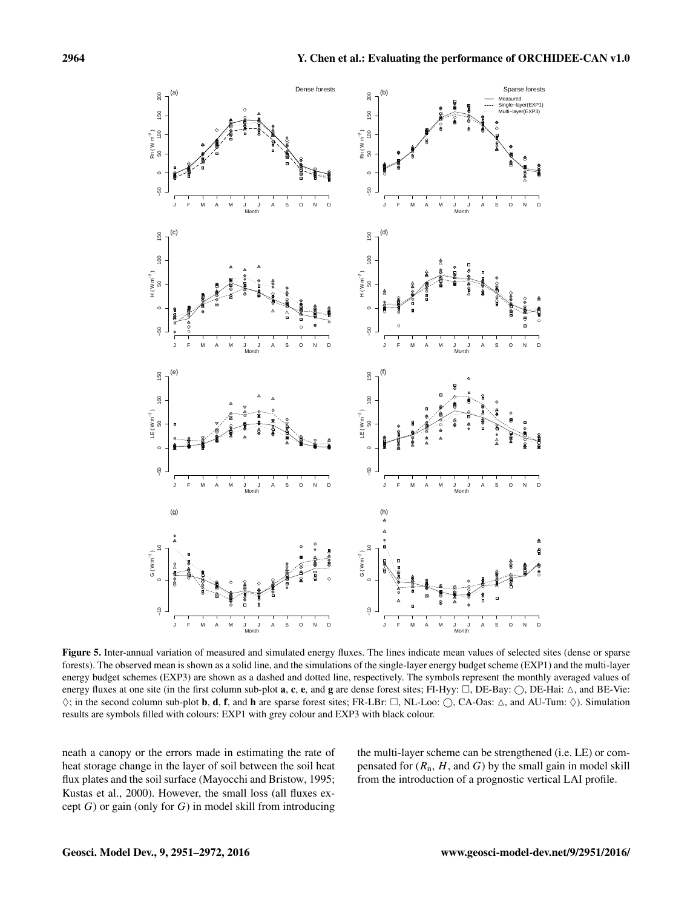<span id="page-13-0"></span>

Figure 5. Inter-annual variation of measured and simulated energy fluxes. The lines indicate mean values of selected sites (dense or sparse forests). The observed mean is shown as a solid line, and the simulations of the single-layer energy budget scheme (EXP1) and the multi-layer energy budget schemes (EXP3) are shown as a dashed and dotted line, respectively. The symbols represent the monthly averaged values of energy fluxes at one site (in the first column sub-plot **a**, **c**, **e**, and **g** are dense forest sites; FI-Hyy:  $\Box$ , DE-Bay:  $\Diamond$ , DE-Hai:  $\triangle$ , and BE-Vie:  $\Diamond$ ; in the second column sub-plot **b**, **d**, **f**, and **h** are sparse forest sites; FR-LBr:  $\Box$ , NL-Loo:  $\bigcirc$ , CA-Oas:  $\triangle$ , and AU-Tum:  $\Diamond$ ). Simulation results are symbols filled with colours: EXP1 with grey colour and EXP3 with black colour.

neath a canopy or the errors made in estimating the rate of heat storage change in the layer of soil between the soil heat flux plates and the soil surface [\(Mayocchi and Bristow,](#page-20-18) [1995;](#page-20-18) [Kustas et al.,](#page-20-19) [2000\)](#page-20-19). However, the small loss (all fluxes except  $G$ ) or gain (only for  $G$ ) in model skill from introducing the multi-layer scheme can be strengthened (i.e. LE) or compensated for  $(R_n, H,$  and  $G)$  by the small gain in model skill from the introduction of a prognostic vertical LAI profile.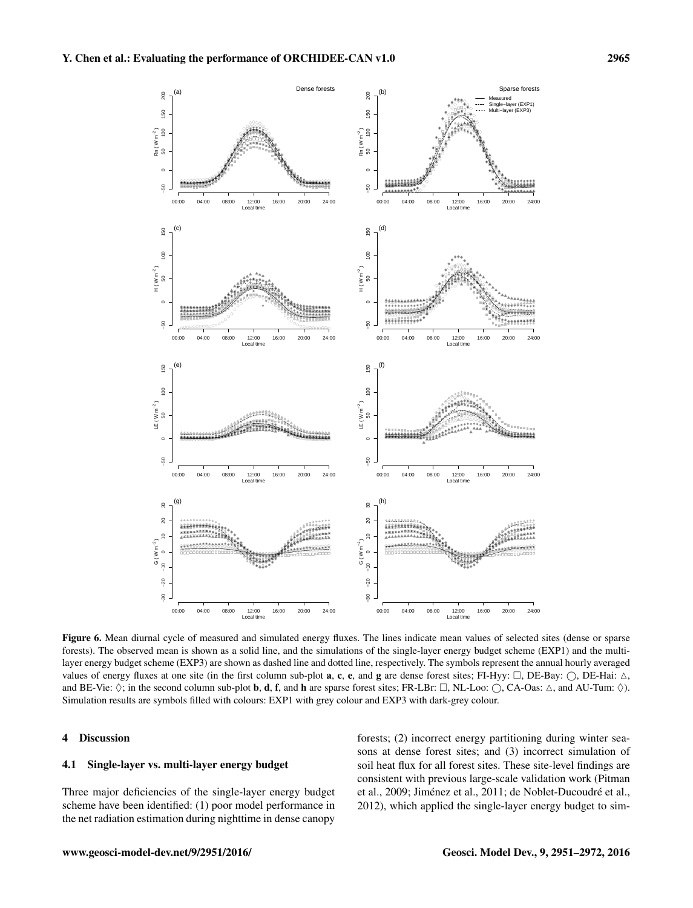<span id="page-14-0"></span>

Figure 6. Mean diurnal cycle of measured and simulated energy fluxes. The lines indicate mean values of selected sites (dense or sparse forests). The observed mean is shown as a solid line, and the simulations of the single-layer energy budget scheme (EXP1) and the multilayer energy budget scheme (EXP3) are shown as dashed line and dotted line, respectively. The symbols represent the annual hourly averaged values of energy fluxes at one site (in the first column sub-plot **a**, **c**, **e**, and **g** are dense forest sites; FI-Hyy:  $\Box$ , DE-Bay:  $\bigcirc$ , DE-Hai:  $\triangle$ , and BE-Vie:  $\Diamond$ ; in the second column sub-plot **b**, **d**, **f**, and **h** are sparse forest sites; FR-LBr:  $\Box$ , NL-Loo:  $\bigcirc$ , CA-Oas:  $\triangle$ , and AU-Tum:  $\Diamond$ ). Simulation results are symbols filled with colours: EXP1 with grey colour and EXP3 with dark-grey colour.

#### 4 Discussion

#### 4.1 Single-layer vs. multi-layer energy budget

Three major deficiencies of the single-layer energy budget scheme have been identified: (1) poor model performance in the net radiation estimation during nighttime in dense canopy forests; (2) incorrect energy partitioning during winter seasons at dense forest sites; and (3) incorrect simulation of soil heat flux for all forest sites. These site-level findings are consistent with previous large-scale validation work [\(Pitman](#page-21-2) [et al.,](#page-21-2) [2009;](#page-21-2) [Jiménez et al.,](#page-20-0) [2011;](#page-20-0) [de Noblet-Ducoudré et al.,](#page-19-17) [2012\)](#page-19-17), which applied the single-layer energy budget to sim-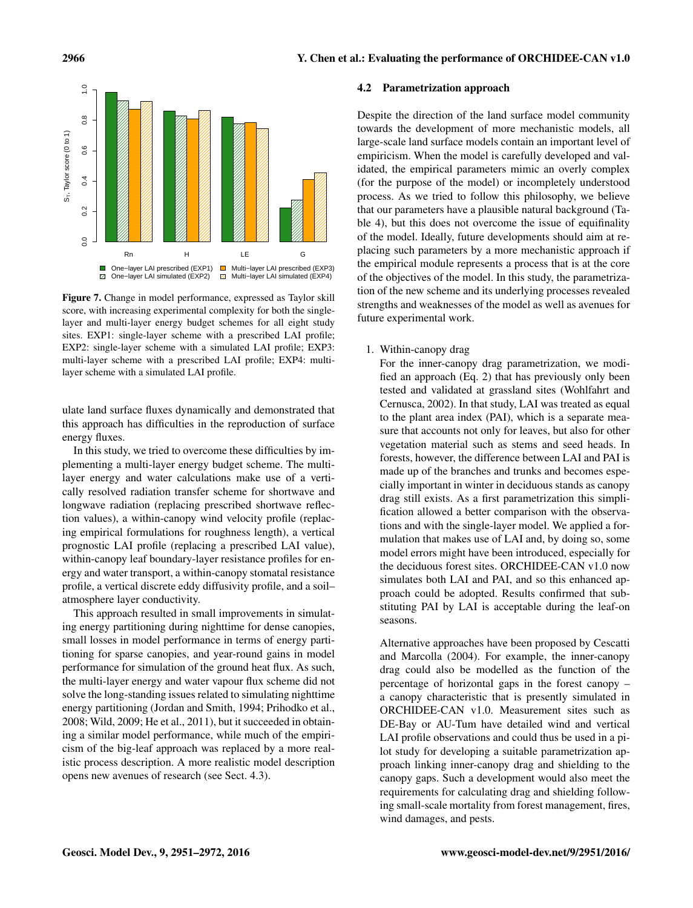<span id="page-15-0"></span>

Figure 7. Change in model performance, expressed as Taylor skill score, with increasing experimental complexity for both the singlelayer and multi-layer energy budget schemes for all eight study sites. EXP1: single-layer scheme with a prescribed LAI profile; EXP2: single-layer scheme with a simulated LAI profile; EXP3: multi-layer scheme with a prescribed LAI profile; EXP4: multilayer scheme with a simulated LAI profile.

ulate land surface fluxes dynamically and demonstrated that this approach has difficulties in the reproduction of surface energy fluxes.

In this study, we tried to overcome these difficulties by implementing a multi-layer energy budget scheme. The multilayer energy and water calculations make use of a vertically resolved radiation transfer scheme for shortwave and longwave radiation (replacing prescribed shortwave reflection values), a within-canopy wind velocity profile (replacing empirical formulations for roughness length), a vertical prognostic LAI profile (replacing a prescribed LAI value), within-canopy leaf boundary-layer resistance profiles for energy and water transport, a within-canopy stomatal resistance profile, a vertical discrete eddy diffusivity profile, and a soil– atmosphere layer conductivity.

This approach resulted in small improvements in simulating energy partitioning during nighttime for dense canopies, small losses in model performance in terms of energy partitioning for sparse canopies, and year-round gains in model performance for simulation of the ground heat flux. As such, the multi-layer energy and water vapour flux scheme did not solve the long-standing issues related to simulating nighttime energy partitioning [\(Jordan and Smith,](#page-20-20) [1994;](#page-20-20) [Prihodko et al.,](#page-21-18) [2008;](#page-21-18) [Wild,](#page-21-19) [2009;](#page-21-19) [He et al.,](#page-20-21) [2011\)](#page-20-21), but it succeeded in obtaining a similar model performance, while much of the empiricism of the big-leaf approach was replaced by a more realistic process description. A more realistic model description opens new avenues of research (see Sect. [4.3\)](#page-17-0).

#### 4.2 Parametrization approach

Despite the direction of the land surface model community towards the development of more mechanistic models, all large-scale land surface models contain an important level of empiricism. When the model is carefully developed and validated, the empirical parameters mimic an overly complex (for the purpose of the model) or incompletely understood process. As we tried to follow this philosophy, we believe that our parameters have a plausible natural background (Table [4\)](#page-5-1), but this does not overcome the issue of equifinality of the model. Ideally, future developments should aim at replacing such parameters by a more mechanistic approach if the empirical module represents a process that is at the core of the objectives of the model. In this study, the parametrization of the new scheme and its underlying processes revealed strengths and weaknesses of the model as well as avenues for future experimental work.

1. Within-canopy drag

For the inner-canopy drag parametrization, we modified an approach (Eq. [2\)](#page-4-2) that has previously only been tested and validated at grassland sites [\(Wohlfahrt and](#page-21-10) [Cernusca,](#page-21-10) [2002\)](#page-21-10). In that study, LAI was treated as equal to the plant area index (PAI), which is a separate measure that accounts not only for leaves, but also for other vegetation material such as stems and seed heads. In forests, however, the difference between LAI and PAI is made up of the branches and trunks and becomes especially important in winter in deciduous stands as canopy drag still exists. As a first parametrization this simplification allowed a better comparison with the observations and with the single-layer model. We applied a formulation that makes use of LAI and, by doing so, some model errors might have been introduced, especially for the deciduous forest sites. ORCHIDEE-CAN v1.0 now simulates both LAI and PAI, and so this enhanced approach could be adopted. Results confirmed that substituting PAI by LAI is acceptable during the leaf-on seasons.

Alternative approaches have been proposed by [Cescatti](#page-19-18) [and Marcolla](#page-19-18) [\(2004\)](#page-19-18). For example, the inner-canopy drag could also be modelled as the function of the percentage of horizontal gaps in the forest canopy – a canopy characteristic that is presently simulated in ORCHIDEE-CAN v1.0. Measurement sites such as DE-Bay or AU-Tum have detailed wind and vertical LAI profile observations and could thus be used in a pilot study for developing a suitable parametrization approach linking inner-canopy drag and shielding to the canopy gaps. Such a development would also meet the requirements for calculating drag and shielding following small-scale mortality from forest management, fires, wind damages, and pests.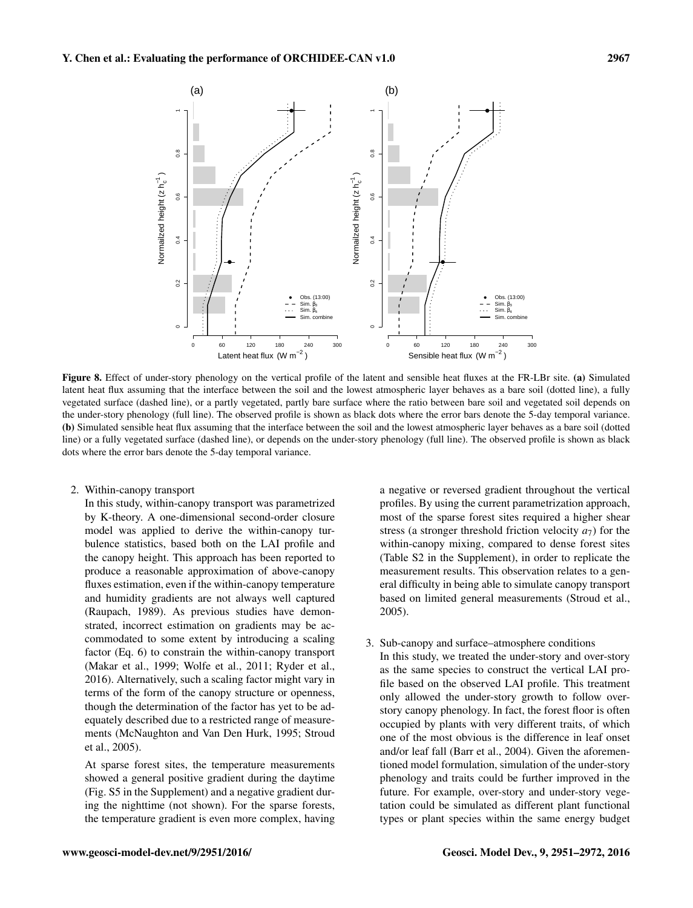<span id="page-16-0"></span>

Figure 8. Effect of under-story phenology on the vertical profile of the latent and sensible heat fluxes at the FR-LBr site. (a) Simulated latent heat flux assuming that the interface between the soil and the lowest atmospheric layer behaves as a bare soil (dotted line), a fully vegetated surface (dashed line), or a partly vegetated, partly bare surface where the ratio between bare soil and vegetated soil depends on the under-story phenology (full line). The observed profile is shown as black dots where the error bars denote the 5-day temporal variance. (b) Simulated sensible heat flux assuming that the interface between the soil and the lowest atmospheric layer behaves as a bare soil (dotted line) or a fully vegetated surface (dashed line), or depends on the under-story phenology (full line). The observed profile is shown as black dots where the error bars denote the 5-day temporal variance.

2. Within-canopy transport

In this study, within-canopy transport was parametrized by K-theory. A one-dimensional second-order closure model was applied to derive the within-canopy turbulence statistics, based both on the LAI profile and the canopy height. This approach has been reported to produce a reasonable approximation of above-canopy fluxes estimation, even if the within-canopy temperature and humidity gradients are not always well captured [\(Raupach,](#page-21-11) [1989\)](#page-21-11). As previous studies have demonstrated, incorrect estimation on gradients may be accommodated to some extent by introducing a scaling factor (Eq. [6\)](#page-6-1) to constrain the within-canopy transport [\(Makar et al.,](#page-20-16) [1999;](#page-20-16) [Wolfe et al.,](#page-21-12) [2011;](#page-21-12) [Ryder et al.,](#page-21-5) [2016\)](#page-21-5). Alternatively, such a scaling factor might vary in terms of the form of the canopy structure or openness, though the determination of the factor has yet to be adequately described due to a restricted range of measurements [\(McNaughton and Van Den Hurk,](#page-20-22) [1995;](#page-20-22) [Stroud](#page-21-20) [et al.,](#page-21-20) [2005\)](#page-21-20).

At sparse forest sites, the temperature measurements showed a general positive gradient during the daytime (Fig. S5 in the Supplement) and a negative gradient during the nighttime (not shown). For the sparse forests, the temperature gradient is even more complex, having

a negative or reversed gradient throughout the vertical profiles. By using the current parametrization approach, most of the sparse forest sites required a higher shear stress (a stronger threshold friction velocity  $a_7$ ) for the within-canopy mixing, compared to dense forest sites (Table S2 in the Supplement), in order to replicate the measurement results. This observation relates to a general difficulty in being able to simulate canopy transport based on limited general measurements [\(Stroud et al.,](#page-21-20) [2005\)](#page-21-20).

3. Sub-canopy and surface–atmosphere conditions In this study, we treated the under-story and over-story as the same species to construct the vertical LAI profile based on the observed LAI profile. This treatment only allowed the under-story growth to follow overstory canopy phenology. In fact, the forest floor is often occupied by plants with very different traits, of which one of the most obvious is the difference in leaf onset and/or leaf fall [\(Barr et al.,](#page-18-2) [2004\)](#page-18-2). Given the aforementioned model formulation, simulation of the under-story phenology and traits could be further improved in the future. For example, over-story and under-story vegetation could be simulated as different plant functional types or plant species within the same energy budget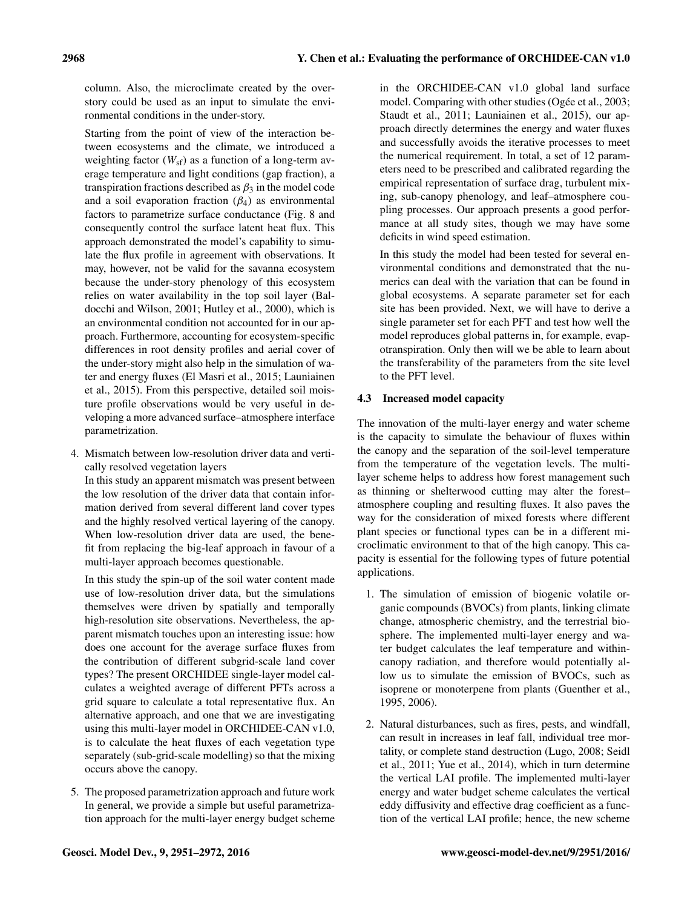column. Also, the microclimate created by the overstory could be used as an input to simulate the environmental conditions in the under-story.

Starting from the point of view of the interaction between ecosystems and the climate, we introduced a weighting factor  $(W_{sf})$  as a function of a long-term average temperature and light conditions (gap fraction), a transpiration fractions described as  $\beta_3$  in the model code and a soil evaporation fraction  $(\beta_4)$  as environmental factors to parametrize surface conductance (Fig. [8](#page-16-0) and consequently control the surface latent heat flux. This approach demonstrated the model's capability to simulate the flux profile in agreement with observations. It may, however, not be valid for the savanna ecosystem because the under-story phenology of this ecosystem relies on water availability in the top soil layer [\(Bal](#page-18-0)[docchi and Wilson,](#page-18-0) [2001;](#page-18-0) [Hutley et al.,](#page-20-23) [2000\)](#page-20-23), which is an environmental condition not accounted for in our approach. Furthermore, accounting for ecosystem-specific differences in root density profiles and aerial cover of the under-story might also help in the simulation of water and energy fluxes [\(El Masri et al.,](#page-19-19) [2015;](#page-19-19) [Launiainen](#page-20-3) [et al.,](#page-20-3) [2015\)](#page-20-3). From this perspective, detailed soil moisture profile observations would be very useful in developing a more advanced surface–atmosphere interface parametrization.

4. Mismatch between low-resolution driver data and vertically resolved vegetation layers

In this study an apparent mismatch was present between the low resolution of the driver data that contain information derived from several different land cover types and the highly resolved vertical layering of the canopy. When low-resolution driver data are used, the benefit from replacing the big-leaf approach in favour of a multi-layer approach becomes questionable.

In this study the spin-up of the soil water content made use of low-resolution driver data, but the simulations themselves were driven by spatially and temporally high-resolution site observations. Nevertheless, the apparent mismatch touches upon an interesting issue: how does one account for the average surface fluxes from the contribution of different subgrid-scale land cover types? The present ORCHIDEE single-layer model calculates a weighted average of different PFTs across a grid square to calculate a total representative flux. An alternative approach, and one that we are investigating using this multi-layer model in ORCHIDEE-CAN v1.0, is to calculate the heat fluxes of each vegetation type separately (sub-grid-scale modelling) so that the mixing occurs above the canopy.

5. The proposed parametrization approach and future work In general, we provide a simple but useful parametrization approach for the multi-layer energy budget scheme in the ORCHIDEE-CAN v1.0 global land surface model. Comparing with other studies [\(Ogée et al.,](#page-20-1) [2003;](#page-20-1) [Staudt et al.,](#page-21-4) [2011;](#page-21-4) [Launiainen et al.,](#page-20-3) [2015\)](#page-20-3), our approach directly determines the energy and water fluxes and successfully avoids the iterative processes to meet the numerical requirement. In total, a set of 12 parameters need to be prescribed and calibrated regarding the empirical representation of surface drag, turbulent mixing, sub-canopy phenology, and leaf–atmosphere coupling processes. Our approach presents a good performance at all study sites, though we may have some deficits in wind speed estimation.

In this study the model had been tested for several environmental conditions and demonstrated that the numerics can deal with the variation that can be found in global ecosystems. A separate parameter set for each site has been provided. Next, we will have to derive a single parameter set for each PFT and test how well the model reproduces global patterns in, for example, evapotranspiration. Only then will we be able to learn about the transferability of the parameters from the site level to the PFT level.

# <span id="page-17-0"></span>4.3 Increased model capacity

The innovation of the multi-layer energy and water scheme is the capacity to simulate the behaviour of fluxes within the canopy and the separation of the soil-level temperature from the temperature of the vegetation levels. The multilayer scheme helps to address how forest management such as thinning or shelterwood cutting may alter the forest– atmosphere coupling and resulting fluxes. It also paves the way for the consideration of mixed forests where different plant species or functional types can be in a different microclimatic environment to that of the high canopy. This capacity is essential for the following types of future potential applications.

- 1. The simulation of emission of biogenic volatile organic compounds (BVOCs) from plants, linking climate change, atmospheric chemistry, and the terrestrial biosphere. The implemented multi-layer energy and water budget calculates the leaf temperature and withincanopy radiation, and therefore would potentially allow us to simulate the emission of BVOCs, such as isoprene or monoterpene from plants [\(Guenther et al.,](#page-19-20) [1995,](#page-19-20) [2006\)](#page-19-21).
- 2. Natural disturbances, such as fires, pests, and windfall, can result in increases in leaf fall, individual tree mortality, or complete stand destruction [\(Lugo,](#page-20-24) [2008;](#page-20-24) [Seidl](#page-21-21) [et al.,](#page-21-21) [2011;](#page-21-21) [Yue et al.,](#page-21-22) [2014\)](#page-21-22), which in turn determine the vertical LAI profile. The implemented multi-layer energy and water budget scheme calculates the vertical eddy diffusivity and effective drag coefficient as a function of the vertical LAI profile; hence, the new scheme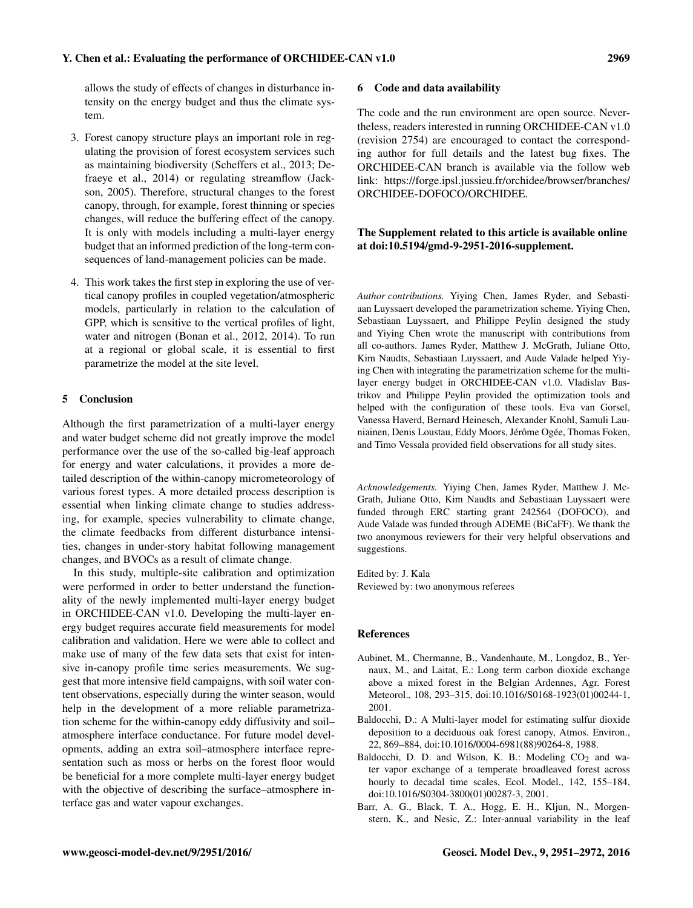allows the study of effects of changes in disturbance intensity on the energy budget and thus the climate system.

- 3. Forest canopy structure plays an important role in regulating the provision of forest ecosystem services such as maintaining biodiversity [\(Scheffers et al.,](#page-21-23) [2013;](#page-21-23) [De](#page-19-22)[fraeye et al.,](#page-19-22) [2014\)](#page-19-22) or regulating streamflow [\(Jack](#page-20-25)[son,](#page-20-25) [2005\)](#page-20-25). Therefore, structural changes to the forest canopy, through, for example, forest thinning or species changes, will reduce the buffering effect of the canopy. It is only with models including a multi-layer energy budget that an informed prediction of the long-term consequences of land-management policies can be made.
- 4. This work takes the first step in exploring the use of vertical canopy profiles in coupled vegetation/atmospheric models, particularly in relation to the calculation of GPP, which is sensitive to the vertical profiles of light, water and nitrogen [\(Bonan et al.,](#page-19-23) [2012,](#page-19-23) [2014\)](#page-19-3). To run at a regional or global scale, it is essential to first parametrize the model at the site level.

## 5 Conclusion

Although the first parametrization of a multi-layer energy and water budget scheme did not greatly improve the model performance over the use of the so-called big-leaf approach for energy and water calculations, it provides a more detailed description of the within-canopy micrometeorology of various forest types. A more detailed process description is essential when linking climate change to studies addressing, for example, species vulnerability to climate change, the climate feedbacks from different disturbance intensities, changes in under-story habitat following management changes, and BVOCs as a result of climate change.

In this study, multiple-site calibration and optimization were performed in order to better understand the functionality of the newly implemented multi-layer energy budget in ORCHIDEE-CAN v1.0. Developing the multi-layer energy budget requires accurate field measurements for model calibration and validation. Here we were able to collect and make use of many of the few data sets that exist for intensive in-canopy profile time series measurements. We suggest that more intensive field campaigns, with soil water content observations, especially during the winter season, would help in the development of a more reliable parametrization scheme for the within-canopy eddy diffusivity and soil– atmosphere interface conductance. For future model developments, adding an extra soil–atmosphere interface representation such as moss or herbs on the forest floor would be beneficial for a more complete multi-layer energy budget with the objective of describing the surface–atmosphere interface gas and water vapour exchanges.

#### 6 Code and data availability

The code and the run environment are open source. Nevertheless, readers interested in running ORCHIDEE-CAN v1.0 (revision 2754) are encouraged to contact the corresponding author for full details and the latest bug fixes. The ORCHIDEE-CAN branch is available via the follow web link: [https://forge.ipsl.jussieu.fr/orchidee/browser/branches/](https://forge.ipsl.jussieu.fr/orchidee/browser/branches/ORCHIDEE-DOFOCO/ORCHIDEE) [ORCHIDEE-DOFOCO/ORCHIDEE.](https://forge.ipsl.jussieu.fr/orchidee/browser/branches/ORCHIDEE-DOFOCO/ORCHIDEE)

# The Supplement related to this article is available online at [doi:10.5194/gmd-9-2951-2016-supplement.](http://dx.doi.org/10.5194/gmd-9-2951-2016-supplement)

*Author contributions.* Yiying Chen, James Ryder, and Sebastiaan Luyssaert developed the parametrization scheme. Yiying Chen, Sebastiaan Luyssaert, and Philippe Peylin designed the study and Yiying Chen wrote the manuscript with contributions from all co-authors. James Ryder, Matthew J. McGrath, Juliane Otto, Kim Naudts, Sebastiaan Luyssaert, and Aude Valade helped Yiying Chen with integrating the parametrization scheme for the multilayer energy budget in ORCHIDEE-CAN v1.0. Vladislav Bastrikov and Philippe Peylin provided the optimization tools and helped with the configuration of these tools. Eva van Gorsel, Vanessa Haverd, Bernard Heinesch, Alexander Knohl, Samuli Launiainen, Denis Loustau, Eddy Moors, Jérôme Ogée, Thomas Foken, and Timo Vessala provided field observations for all study sites.

*Acknowledgements.* Yiying Chen, James Ryder, Matthew J. Mc-Grath, Juliane Otto, Kim Naudts and Sebastiaan Luyssaert were funded through ERC starting grant 242564 (DOFOCO), and Aude Valade was funded through ADEME (BiCaFF). We thank the two anonymous reviewers for their very helpful observations and suggestions.

Edited by: J. Kala Reviewed by: two anonymous referees

#### References

- <span id="page-18-3"></span>Aubinet, M., Chermanne, B., Vandenhaute, M., Longdoz, B., Yernaux, M., and Laitat, E.: Long term carbon dioxide exchange above a mixed forest in the Belgian Ardennes, Agr. Forest Meteorol., 108, 293–315, doi[:10.1016/S0168-1923\(01\)00244-1,](http://dx.doi.org/10.1016/S0168-1923(01)00244-1) 2001.
- <span id="page-18-1"></span>Baldocchi, D.: A Multi-layer model for estimating sulfur dioxide deposition to a deciduous oak forest canopy, Atmos. Environ., 22, 869–884, doi[:10.1016/0004-6981\(88\)90264-8,](http://dx.doi.org/10.1016/0004-6981(88)90264-8) 1988.
- <span id="page-18-0"></span>Baldocchi, D. D. and Wilson, K. B.: Modeling  $CO<sub>2</sub>$  and water vapor exchange of a temperate broadleaved forest across hourly to decadal time scales, Ecol. Model., 142, 155–184, doi[:10.1016/S0304-3800\(01\)00287-3,](http://dx.doi.org/10.1016/S0304-3800(01)00287-3) 2001.
- <span id="page-18-2"></span>Barr, A. G., Black, T. A., Hogg, E. H., Kljun, N., Morgenstern, K., and Nesic, Z.: Inter-annual variability in the leaf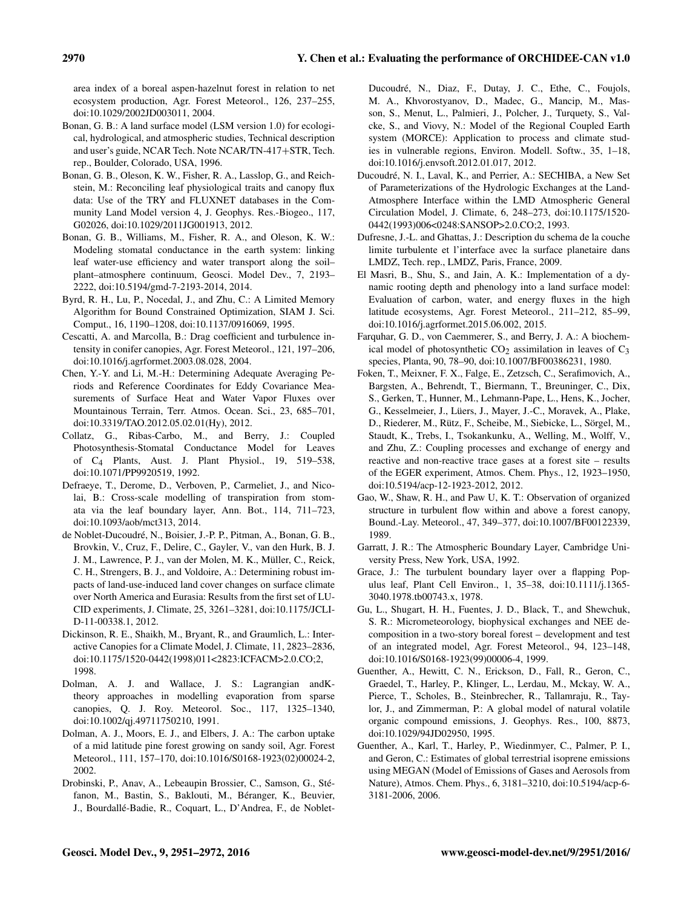area index of a boreal aspen-hazelnut forest in relation to net ecosystem production, Agr. Forest Meteorol., 126, 237–255, doi[:10.1029/2002JD003011,](http://dx.doi.org/10.1029/2002JD003011) 2004.

- <span id="page-19-1"></span>Bonan, G. B.: A land surface model (LSM version 1.0) for ecological, hydrological, and atmospheric studies, Technical description and user's guide, NCAR Tech. Note NCAR/TN-417+STR, Tech. rep., Boulder, Colorado, USA, 1996.
- <span id="page-19-23"></span>Bonan, G. B., Oleson, K. W., Fisher, R. A., Lasslop, G., and Reichstein, M.: Reconciling leaf physiological traits and canopy flux data: Use of the TRY and FLUXNET databases in the Community Land Model version 4, J. Geophys. Res.-Biogeo., 117, G02026, doi[:10.1029/2011JG001913,](http://dx.doi.org/10.1029/2011JG001913) 2012.
- <span id="page-19-3"></span>Bonan, G. B., Williams, M., Fisher, R. A., and Oleson, K. W.: Modeling stomatal conductance in the earth system: linking leaf water-use efficiency and water transport along the soil– plant–atmosphere continuum, Geosci. Model Dev., 7, 2193– 2222, doi[:10.5194/gmd-7-2193-2014,](http://dx.doi.org/10.5194/gmd-7-2193-2014) 2014.
- <span id="page-19-16"></span>Byrd, R. H., Lu, P., Nocedal, J., and Zhu, C.: A Limited Memory Algorithm for Bound Constrained Optimization, SIAM J. Sci. Comput., 16, 1190–1208, doi[:10.1137/0916069,](http://dx.doi.org/10.1137/0916069) 1995.
- <span id="page-19-18"></span>Cescatti, A. and Marcolla, B.: Drag coefficient and turbulence intensity in conifer canopies, Agr. Forest Meteorol., 121, 197–206, doi[:10.1016/j.agrformet.2003.08.028,](http://dx.doi.org/10.1016/j.agrformet.2003.08.028) 2004.
- <span id="page-19-11"></span>Chen, Y.-Y. and Li, M.-H.: Determining Adequate Averaging Periods and Reference Coordinates for Eddy Covariance Measurements of Surface Heat and Water Vapor Fluxes over Mountainous Terrain, Terr. Atmos. Ocean. Sci., 23, 685–701, doi[:10.3319/TAO.2012.05.02.01\(Hy\),](http://dx.doi.org/10.3319/TAO.2012.05.02.01(Hy)) 2012.
- <span id="page-19-8"></span>Collatz, G., Ribas-Carbo, M., and Berry, J.: Coupled Photosynthesis-Stomatal Conductance Model for Leaves of C4 Plants, Aust. J. Plant Physiol., 19, 519–538, doi[:10.1071/PP9920519,](http://dx.doi.org/10.1071/PP9920519) 1992.
- <span id="page-19-22"></span>Defraeye, T., Derome, D., Verboven, P., Carmeliet, J., and Nicolai, B.: Cross-scale modelling of transpiration from stomata via the leaf boundary layer, Ann. Bot., 114, 711–723, doi[:10.1093/aob/mct313,](http://dx.doi.org/10.1093/aob/mct313) 2014.
- <span id="page-19-17"></span>de Noblet-Ducoudré, N., Boisier, J.-P. P., Pitman, A., Bonan, G. B., Brovkin, V., Cruz, F., Delire, C., Gayler, V., van den Hurk, B. J. J. M., Lawrence, P. J., van der Molen, M. K., Müller, C., Reick, C. H., Strengers, B. J., and Voldoire, A.: Determining robust impacts of land-use-induced land cover changes on surface climate over North America and Eurasia: Results from the first set of LU-CID experiments, J. Climate, 25, 3261–3281, doi[:10.1175/JCLI-](http://dx.doi.org/10.1175/JCLI-D-11-00338.1)[D-11-00338.1,](http://dx.doi.org/10.1175/JCLI-D-11-00338.1) 2012.
- <span id="page-19-2"></span>Dickinson, R. E., Shaikh, M., Bryant, R., and Graumlich, L.: Interactive Canopies for a Climate Model, J. Climate, 11, 2823–2836, doi[:10.1175/1520-0442\(1998\)011<2823:ICFACM>2.0.CO;2,](http://dx.doi.org/10.1175/1520-0442(1998)011<2823:ICFACM>2.0.CO;2) 1998.
- <span id="page-19-12"></span>Dolman, A. J. and Wallace, J. S.: Lagrangian andKtheory approaches in modelling evaporation from sparse canopies, Q. J. Roy. Meteorol. Soc., 117, 1325–1340, doi[:10.1002/qj.49711750210,](http://dx.doi.org/10.1002/qj.49711750210) 1991.
- <span id="page-19-9"></span>Dolman, A. J., Moors, E. J., and Elbers, J. A.: The carbon uptake of a mid latitude pine forest growing on sandy soil, Agr. Forest Meteorol., 111, 157–170, doi[:10.1016/S0168-1923\(02\)00024-2,](http://dx.doi.org/10.1016/S0168-1923(02)00024-2) 2002.
- <span id="page-19-0"></span>Drobinski, P., Anav, A., Lebeaupin Brossier, C., Samson, G., Stéfanon, M., Bastin, S., Baklouti, M., Béranger, K., Beuvier, J., Bourdallé-Badie, R., Coquart, L., D'Andrea, F., de Noblet-

Ducoudré, N., Diaz, F., Dutay, J. C., Ethe, C., Foujols, M. A., Khvorostyanov, D., Madec, G., Mancip, M., Masson, S., Menut, L., Palmieri, J., Polcher, J., Turquety, S., Valcke, S., and Viovy, N.: Model of the Regional Coupled Earth system (MORCE): Application to process and climate studies in vulnerable regions, Environ. Modell. Softw., 35, 1–18, doi[:10.1016/j.envsoft.2012.01.017,](http://dx.doi.org/10.1016/j.envsoft.2012.01.017) 2012.

- <span id="page-19-4"></span>Ducoudré, N. I., Laval, K., and Perrier, A.: SECHIBA, a New Set of Parameterizations of the Hydrologic Exchanges at the Land-Atmosphere Interface within the LMD Atmospheric General Circulation Model, J. Climate, 6, 248–273, doi[:10.1175/1520-](http://dx.doi.org/10.1175/1520-0442(1993)006<0248:SANSOP>2.0.CO;2) [0442\(1993\)006<0248:SANSOP>2.0.CO;2,](http://dx.doi.org/10.1175/1520-0442(1993)006<0248:SANSOP>2.0.CO;2) 1993.
- <span id="page-19-13"></span>Dufresne, J.-L. and Ghattas, J.: Description du schema de la couche limite turbulente et l'interface avec la surface planetaire dans LMDZ, Tech. rep., LMDZ, Paris, France, 2009.
- <span id="page-19-19"></span>El Masri, B., Shu, S., and Jain, A. K.: Implementation of a dynamic rooting depth and phenology into a land surface model: Evaluation of carbon, water, and energy fluxes in the high latitude ecosystems, Agr. Forest Meteorol., 211–212, 85–99, doi[:10.1016/j.agrformet.2015.06.002,](http://dx.doi.org/10.1016/j.agrformet.2015.06.002) 2015.
- <span id="page-19-7"></span>Farquhar, G. D., von Caemmerer, S., and Berry, J. A.: A biochemical model of photosynthetic  $CO<sub>2</sub>$  assimilation in leaves of  $C<sub>3</sub>$ species, Planta, 90, 78–90, doi[:10.1007/BF00386231,](http://dx.doi.org/10.1007/BF00386231) 1980.
- <span id="page-19-10"></span>Foken, T., Meixner, F. X., Falge, E., Zetzsch, C., Serafimovich, A., Bargsten, A., Behrendt, T., Biermann, T., Breuninger, C., Dix, S., Gerken, T., Hunner, M., Lehmann-Pape, L., Hens, K., Jocher, G., Kesselmeier, J., Lüers, J., Mayer, J.-C., Moravek, A., Plake, D., Riederer, M., Rütz, F., Scheibe, M., Siebicke, L., Sörgel, M., Staudt, K., Trebs, I., Tsokankunku, A., Welling, M., Wolff, V., and Zhu, Z.: Coupling processes and exchange of energy and reactive and non-reactive trace gases at a forest site – results of the EGER experiment, Atmos. Chem. Phys., 12, 1923–1950, doi[:10.5194/acp-12-1923-2012,](http://dx.doi.org/10.5194/acp-12-1923-2012) 2012.
- <span id="page-19-5"></span>Gao, W., Shaw, R. H., and Paw U, K. T.: Observation of organized structure in turbulent flow within and above a forest canopy, Bound.-Lay. Meteorol., 47, 349–377, doi[:10.1007/BF00122339,](http://dx.doi.org/10.1007/BF00122339) 1989.
- <span id="page-19-15"></span>Garratt, J. R.: The Atmospheric Boundary Layer, Cambridge University Press, New York, USA, 1992.
- <span id="page-19-14"></span>Grace, J.: The turbulent boundary layer over a flapping Populus leaf, Plant Cell Environ., 1, 35–38, doi[:10.1111/j.1365-](http://dx.doi.org/10.1111/j.1365-3040.1978.tb00743.x) [3040.1978.tb00743.x,](http://dx.doi.org/10.1111/j.1365-3040.1978.tb00743.x) 1978.
- <span id="page-19-6"></span>Gu, L., Shugart, H. H., Fuentes, J. D., Black, T., and Shewchuk, S. R.: Micrometeorology, biophysical exchanges and NEE decomposition in a two-story boreal forest – development and test of an integrated model, Agr. Forest Meteorol., 94, 123–148, doi[:10.1016/S0168-1923\(99\)00006-4,](http://dx.doi.org/10.1016/S0168-1923(99)00006-4) 1999.
- <span id="page-19-20"></span>Guenther, A., Hewitt, C. N., Erickson, D., Fall, R., Geron, C., Graedel, T., Harley, P., Klinger, L., Lerdau, M., Mckay, W. A., Pierce, T., Scholes, B., Steinbrecher, R., Tallamraju, R., Taylor, J., and Zimmerman, P.: A global model of natural volatile organic compound emissions, J. Geophys. Res., 100, 8873, doi[:10.1029/94JD02950,](http://dx.doi.org/10.1029/94JD02950) 1995.
- <span id="page-19-21"></span>Guenther, A., Karl, T., Harley, P., Wiedinmyer, C., Palmer, P. I., and Geron, C.: Estimates of global terrestrial isoprene emissions using MEGAN (Model of Emissions of Gases and Aerosols from Nature), Atmos. Chem. Phys., 6, 3181–3210, doi[:10.5194/acp-6-](http://dx.doi.org/10.5194/acp-6-3181-2006) [3181-2006,](http://dx.doi.org/10.5194/acp-6-3181-2006) 2006.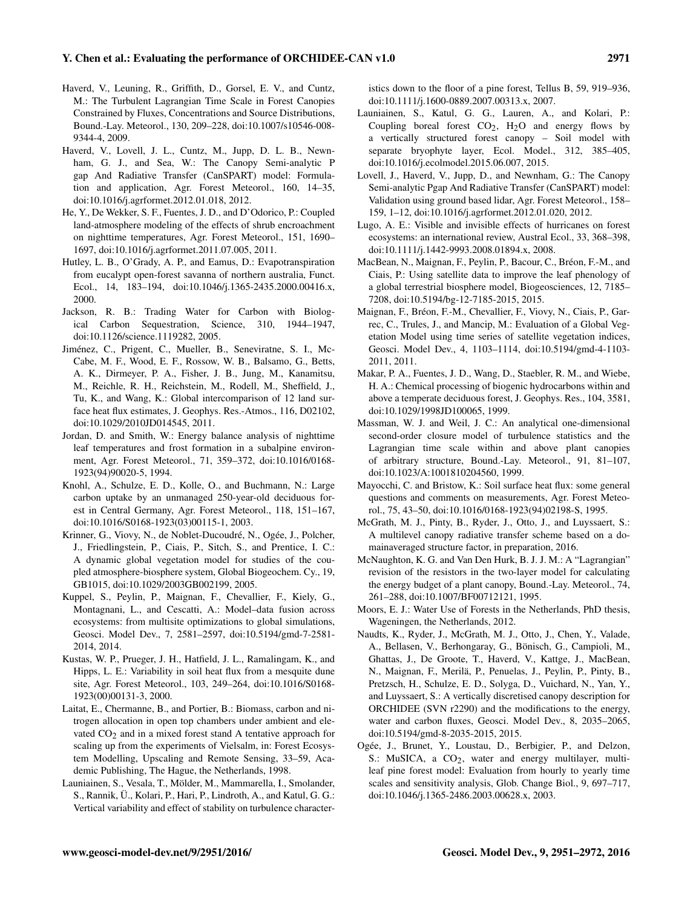#### Y. Chen et al.: Evaluating the performance of ORCHIDEE-CAN v1.0 2971

- <span id="page-20-15"></span>Haverd, V., Leuning, R., Griffith, D., Gorsel, E. V., and Cuntz, M.: The Turbulent Lagrangian Time Scale in Forest Canopies Constrained by Fluxes, Concentrations and Source Distributions, Bound.-Lay. Meteorol., 130, 209–228, doi[:10.1007/s10546-008-](http://dx.doi.org/10.1007/s10546-008-9344-4) [9344-4,](http://dx.doi.org/10.1007/s10546-008-9344-4) 2009.
- <span id="page-20-2"></span>Haverd, V., Lovell, J. L., Cuntz, M., Jupp, D. L. B., Newnham, G. J., and Sea, W.: The Canopy Semi-analytic P gap And Radiative Transfer (CanSPART) model: Formulation and application, Agr. Forest Meteorol., 160, 14–35, doi[:10.1016/j.agrformet.2012.01.018,](http://dx.doi.org/10.1016/j.agrformet.2012.01.018) 2012.
- <span id="page-20-21"></span>He, Y., De Wekker, S. F., Fuentes, J. D., and D'Odorico, P.: Coupled land-atmosphere modeling of the effects of shrub encroachment on nighttime temperatures, Agr. Forest Meteorol., 151, 1690– 1697, doi[:10.1016/j.agrformet.2011.07.005,](http://dx.doi.org/10.1016/j.agrformet.2011.07.005) 2011.
- <span id="page-20-23"></span>Hutley, L. B., O'Grady, A. P., and Eamus, D.: Evapotranspiration from eucalypt open-forest savanna of northern australia, Funct. Ecol., 14, 183–194, doi[:10.1046/j.1365-2435.2000.00416.x,](http://dx.doi.org/10.1046/j.1365-2435.2000.00416.x) 2000.
- <span id="page-20-25"></span>Jackson, R. B.: Trading Water for Carbon with Biological Carbon Sequestration, Science, 310, 1944–1947, doi[:10.1126/science.1119282,](http://dx.doi.org/10.1126/science.1119282) 2005.
- <span id="page-20-0"></span>Jiménez, C., Prigent, C., Mueller, B., Seneviratne, S. I., Mc-Cabe, M. F., Wood, E. F., Rossow, W. B., Balsamo, G., Betts, A. K., Dirmeyer, P. A., Fisher, J. B., Jung, M., Kanamitsu, M., Reichle, R. H., Reichstein, M., Rodell, M., Sheffield, J., Tu, K., and Wang, K.: Global intercomparison of 12 land surface heat flux estimates, J. Geophys. Res.-Atmos., 116, D02102, doi[:10.1029/2010JD014545,](http://dx.doi.org/10.1029/2010JD014545) 2011.
- <span id="page-20-20"></span>Jordan, D. and Smith, W.: Energy balance analysis of nighttime leaf temperatures and frost formation in a subalpine environment, Agr. Forest Meteorol., 71, 359–372, doi[:10.1016/0168-](http://dx.doi.org/10.1016/0168-1923(94)90020-5) [1923\(94\)90020-5,](http://dx.doi.org/10.1016/0168-1923(94)90020-5) 1994.
- <span id="page-20-11"></span>Knohl, A., Schulze, E. D., Kolle, O., and Buchmann, N.: Large carbon uptake by an unmanaged 250-year-old deciduous forest in Central Germany, Agr. Forest Meteorol., 118, 151–167, doi[:10.1016/S0168-1923\(03\)00115-1,](http://dx.doi.org/10.1016/S0168-1923(03)00115-1) 2003.
- <span id="page-20-4"></span>Krinner, G., Viovy, N., de Noblet-Ducoudré, N., Ogée, J., Polcher, J., Friedlingstein, P., Ciais, P., Sitch, S., and Prentice, I. C.: A dynamic global vegetation model for studies of the coupled atmosphere-biosphere system, Global Biogeochem. Cy., 19, GB1015, doi[:10.1029/2003GB002199,](http://dx.doi.org/10.1029/2003GB002199) 2005.
- <span id="page-20-13"></span>Kuppel, S., Peylin, P., Maignan, F., Chevallier, F., Kiely, G., Montagnani, L., and Cescatti, A.: Model–data fusion across ecosystems: from multisite optimizations to global simulations, Geosci. Model Dev., 7, 2581–2597, doi[:10.5194/gmd-7-2581-](http://dx.doi.org/10.5194/gmd-7-2581-2014) [2014,](http://dx.doi.org/10.5194/gmd-7-2581-2014) 2014.
- <span id="page-20-19"></span>Kustas, W. P., Prueger, J. H., Hatfield, J. L., Ramalingam, K., and Hipps, L. E.: Variability in soil heat flux from a mesquite dune site, Agr. Forest Meteorol., 103, 249–264, doi[:10.1016/S0168-](http://dx.doi.org/10.1016/S0168-1923(00)00131-3) [1923\(00\)00131-3,](http://dx.doi.org/10.1016/S0168-1923(00)00131-3) 2000.
- <span id="page-20-12"></span>Laitat, E., Chermanne, B., and Portier, B.: Biomass, carbon and nitrogen allocation in open top chambers under ambient and elevated CO<sub>2</sub> and in a mixed forest stand A tentative approach for scaling up from the experiments of Vielsalm, in: Forest Ecosystem Modelling, Upscaling and Remote Sensing, 33–59, Academic Publishing, The Hague, the Netherlands, 1998.
- <span id="page-20-8"></span>Launiainen, S., Vesala, T., Mölder, M., Mammarella, I., Smolander, S., Rannik, Ü., Kolari, P., Hari, P., Lindroth, A., and Katul, G. G.: Vertical variability and effect of stability on turbulence character-

istics down to the floor of a pine forest, Tellus B, 59, 919–936, doi[:10.1111/j.1600-0889.2007.00313.x,](http://dx.doi.org/10.1111/j.1600-0889.2007.00313.x) 2007.

- <span id="page-20-3"></span>Launiainen, S., Katul, G. G., Lauren, A., and Kolari, P.: Coupling boreal forest  $CO<sub>2</sub>$ ,  $H<sub>2</sub>O$  and energy flows by a vertically structured forest canopy – Soil model with separate bryophyte layer, Ecol. Model., 312, 385–405, doi[:10.1016/j.ecolmodel.2015.06.007,](http://dx.doi.org/10.1016/j.ecolmodel.2015.06.007) 2015.
- <span id="page-20-10"></span>Lovell, J., Haverd, V., Jupp, D., and Newnham, G.: The Canopy Semi-analytic Pgap And Radiative Transfer (CanSPART) model: Validation using ground based lidar, Agr. Forest Meteorol., 158– 159, 1–12, doi[:10.1016/j.agrformet.2012.01.020,](http://dx.doi.org/10.1016/j.agrformet.2012.01.020) 2012.
- <span id="page-20-24"></span>Lugo, A. E.: Visible and invisible effects of hurricanes on forest ecosystems: an international review, Austral Ecol., 33, 368–398, doi[:10.1111/j.1442-9993.2008.01894.x,](http://dx.doi.org/10.1111/j.1442-9993.2008.01894.x) 2008.
- <span id="page-20-14"></span>MacBean, N., Maignan, F., Peylin, P., Bacour, C., Bréon, F.-M., and Ciais, P.: Using satellite data to improve the leaf phenology of a global terrestrial biosphere model, Biogeosciences, 12, 7185– 7208, doi[:10.5194/bg-12-7185-2015,](http://dx.doi.org/10.5194/bg-12-7185-2015) 2015.
- <span id="page-20-17"></span>Maignan, F., Bréon, F.-M., Chevallier, F., Viovy, N., Ciais, P., Garrec, C., Trules, J., and Mancip, M.: Evaluation of a Global Vegetation Model using time series of satellite vegetation indices, Geosci. Model Dev., 4, 1103–1114, doi[:10.5194/gmd-4-1103-](http://dx.doi.org/10.5194/gmd-4-1103-2011) [2011,](http://dx.doi.org/10.5194/gmd-4-1103-2011) 2011.
- <span id="page-20-16"></span>Makar, P. A., Fuentes, J. D., Wang, D., Staebler, R. M., and Wiebe, H. A.: Chemical processing of biogenic hydrocarbons within and above a temperate deciduous forest, J. Geophys. Res., 104, 3581, doi[:10.1029/1998JD100065,](http://dx.doi.org/10.1029/1998JD100065) 1999.
- <span id="page-20-7"></span>Massman, W. J. and Weil, J. C.: An analytical one-dimensional second-order closure model of turbulence statistics and the Lagrangian time scale within and above plant canopies of arbitrary structure, Bound.-Lay. Meteorol., 91, 81–107, doi[:10.1023/A:1001810204560,](http://dx.doi.org/10.1023/A:1001810204560) 1999.
- <span id="page-20-18"></span>Mayocchi, C. and Bristow, K.: Soil surface heat flux: some general questions and comments on measurements, Agr. Forest Meteorol., 75, 43–50, doi[:10.1016/0168-1923\(94\)02198-S,](http://dx.doi.org/10.1016/0168-1923(94)02198-S) 1995.
- <span id="page-20-6"></span>McGrath, M. J., Pinty, B., Ryder, J., Otto, J., and Luyssaert, S.: A multilevel canopy radiative transfer scheme based on a domainaveraged structure factor, in preparation, 2016.
- <span id="page-20-22"></span>McNaughton, K. G. and Van Den Hurk, B. J. J. M.: A "Lagrangian" revision of the resistors in the two-layer model for calculating the energy budget of a plant canopy, Bound.-Lay. Meteorol., 74, 261–288, doi[:10.1007/BF00712121,](http://dx.doi.org/10.1007/BF00712121) 1995.
- <span id="page-20-9"></span>Moors, E. J.: Water Use of Forests in the Netherlands, PhD thesis, Wageningen, the Netherlands, 2012.
- <span id="page-20-5"></span>Naudts, K., Ryder, J., McGrath, M. J., Otto, J., Chen, Y., Valade, A., Bellasen, V., Berhongaray, G., Bönisch, G., Campioli, M., Ghattas, J., De Groote, T., Haverd, V., Kattge, J., MacBean, N., Maignan, F., Merilä, P., Penuelas, J., Peylin, P., Pinty, B., Pretzsch, H., Schulze, E. D., Solyga, D., Vuichard, N., Yan, Y., and Luyssaert, S.: A vertically discretised canopy description for ORCHIDEE (SVN r2290) and the modifications to the energy, water and carbon fluxes, Geosci. Model Dev., 8, 2035–2065, doi[:10.5194/gmd-8-2035-2015,](http://dx.doi.org/10.5194/gmd-8-2035-2015) 2015.
- <span id="page-20-1"></span>Ogée, J., Brunet, Y., Loustau, D., Berbigier, P., and Delzon, S.: MuSICA, a CO<sub>2</sub>, water and energy multilayer, multileaf pine forest model: Evaluation from hourly to yearly time scales and sensitivity analysis, Glob. Change Biol., 9, 697–717, doi[:10.1046/j.1365-2486.2003.00628.x,](http://dx.doi.org/10.1046/j.1365-2486.2003.00628.x) 2003.